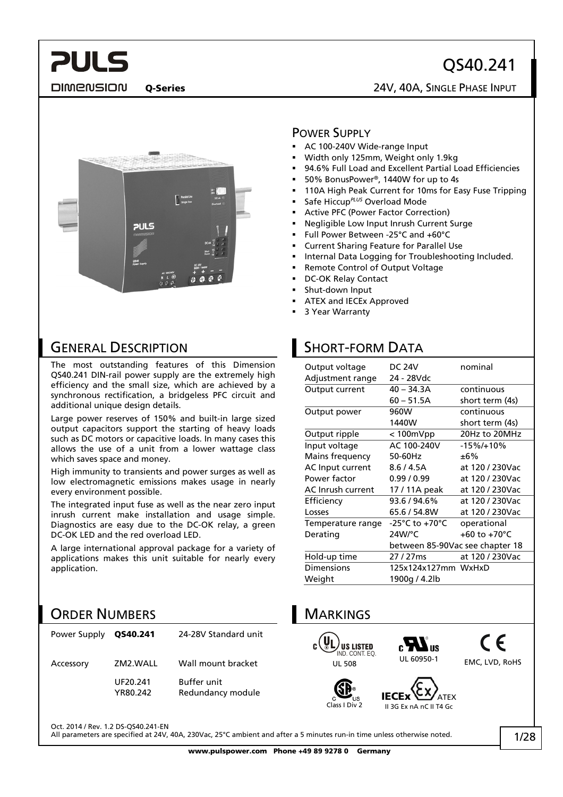# QS40.241

DIMENSION

**PULS** 

### Q-Series 24V, 40A, SINGLE PHASE INPUT



## GENERAL DESCRIPTION

The most outstanding features of this Dimension QS40.241 DIN-rail power supply are the extremely high efficiency and the small size, which are achieved by a synchronous rectification, a bridgeless PFC circuit and additional unique design details.

Large power reserves of 150% and built-in large sized output capacitors support the starting of heavy loads such as DC motors or capacitive loads. In many cases this allows the use of a unit from a lower wattage class which saves space and money.

High immunity to transients and power surges as well as low electromagnetic emissions makes usage in nearly every environment possible.

The integrated input fuse as well as the near zero input inrush current make installation and usage simple. Diagnostics are easy due to the DC-OK relay, a green DC-OK LED and the red overload LED.

A large international approval package for a variety of applications makes this unit suitable for nearly every application.

### ORDER NUMBERS

| Power Supply | QS40.241             | 24-28V Standard unit                    |
|--------------|----------------------|-----------------------------------------|
| Accessory    | ZM2.WALL             | Wall mount bracket                      |
|              | UF20.241<br>YR80.242 | <b>Buffer unit</b><br>Redundancy module |

#### POWER SUPPLY

- AC 100-240V Wide-range Input
- Width only 125mm, Weight only 1.9kg
- 94.6% Full Load and Excellent Partial Load Efficiencies
- 50% BonusPower®, 1440W for up to 4s
- 110A High Peak Current for 10ms for Easy Fuse Tripping
- Safe Hiccup*PLUS* Overload Mode
- Active PFC (Power Factor Correction)
- Negligible Low Input Inrush Current Surge
- Full Power Between -25°C and +60°C
- Current Sharing Feature for Parallel Use
- Internal Data Logging for Troubleshooting Included.
- Remote Control of Output Voltage
- DC-OK Relay Contact
- Shut-down Input
- ATEX and IECEx Approved
- 3 Year Warranty

## SHORT-FORM DATA

| Output voltage    | DC 24V                             | nominal                         |
|-------------------|------------------------------------|---------------------------------|
| Adjustment range  | 24 - 28Vdc                         |                                 |
| Output current    | $40 - 34.3A$                       | continuous                      |
|                   | 60 – 51.5A                         | short term (4s)                 |
| Output power      | 960W                               | continuous                      |
|                   | 1440W                              | short term (4s)                 |
| Output ripple     | $< 100$ m $Vpp$                    | 20Hz to 20MHz                   |
| Input voltage     | AC 100-240V                        | $-15\%/+10\%$                   |
| Mains frequency   | 50-60Hz                            | ±6%                             |
| AC Input current  | 8.6/4.5A                           | at 120 / 230Vac                 |
| Power factor      | 0.99/0.99                          | at 120 / 230Vac                 |
| AC Inrush current | 17 / 11A peak                      | at 120 / 230Vac                 |
| Efficiency        | 93.6 / 94.6%                       | at 120 / 230Vac                 |
| Losses            | 65.6 / 54.8W                       | at 120 / 230Vac                 |
| Temperature range | $-25^{\circ}$ C to $+70^{\circ}$ C | operational                     |
| Derating          | $24W$ <sup>o</sup> C               | +60 to +70 $^{\circ}$ C         |
|                   |                                    | between 85-90Vac see chapter 18 |
| Hold-up time      | 27/27ms                            | at 120 / 230Vac                 |
| Dimensions        | 125x124x127mm WxHxD                |                                 |
| Weight            | 1900g / 4.2lb                      |                                 |
|                   |                                    |                                 |











Oct. 2014 / Rev. 1.2 DS-QS40.241-EN

All parameters are specified at 24V, 40A, 230Vac, 25°C ambient and after a 5 minutes run-in time unless otherwise noted.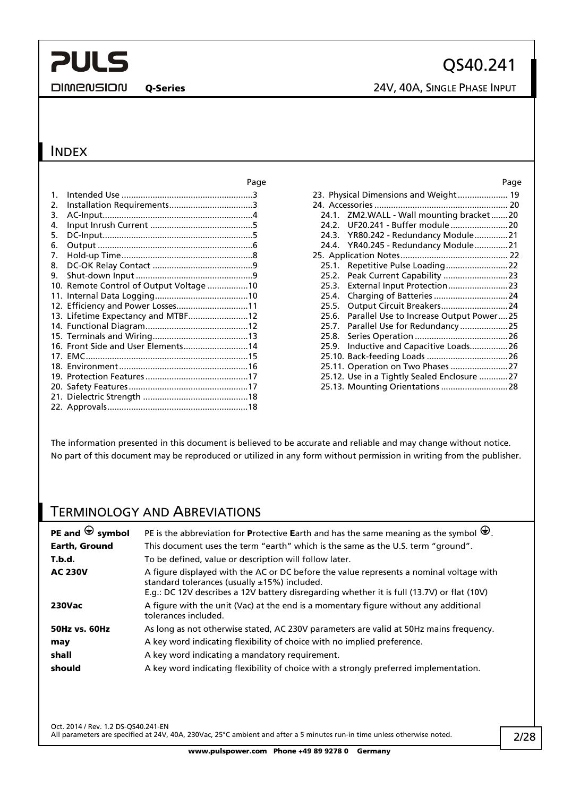**DIMENSION** 

Q-Series 24V, 40A, SINGLE PHASE INPUT

## **INDEX**

|    |                                         | Page | Page                                             |
|----|-----------------------------------------|------|--------------------------------------------------|
| 1. |                                         |      | 23. Physical Dimensions and Weight 19            |
| 2. |                                         |      |                                                  |
| 3. |                                         |      | 24.1. ZM2.WALL - Wall mounting bracket20         |
| 4. |                                         |      | 24.2.                                            |
| 5. |                                         |      | YR80.242 - Redundancy Module21<br>24.3.          |
| 6. |                                         |      | 24.4. YR40.245 - Redundancy Module21             |
| 7. |                                         |      |                                                  |
| 8. |                                         |      | 25.1. Repetitive Pulse Loading22                 |
| 9. |                                         |      |                                                  |
|    | 10. Remote Control of Output Voltage 10 |      | External Input Protection23<br>25.3.             |
|    |                                         |      | 25.4.                                            |
|    | 12. Efficiency and Power Losses11       |      | Output Circuit Breakers24<br>25.5.               |
|    | 13. Lifetime Expectancy and MTBF12      |      | Parallel Use to Increase Output Power25<br>25.6. |
|    |                                         |      | 25.7.                                            |
|    |                                         |      | 25.8.                                            |
|    | 16. Front Side and User Elements14      |      | Inductive and Capacitive Loads26<br>25.9.        |
|    |                                         |      |                                                  |
|    |                                         |      | 25.11. Operation on Two Phases 27                |
|    |                                         |      | 25.12. Use in a Tightly Sealed Enclosure 27      |
|    |                                         |      | 25.13. Mounting Orientations 28                  |
|    |                                         |      |                                                  |
|    |                                         |      |                                                  |

|       | 23. Physical Dimensions and Weight 19       |  |
|-------|---------------------------------------------|--|
|       |                                             |  |
|       | 24.1. ZM2.WALL - Wall mounting bracket20    |  |
| 24.2. | UF20.241 - Buffer module 20                 |  |
| 24.3. | YR80.242 - Redundancy Module21              |  |
| 24.4. | YR40.245 - Redundancy Module21              |  |
|       |                                             |  |
| 25.1. | Repetitive Pulse Loading22                  |  |
| 25.2. | Peak Current Capability 23                  |  |
| 25.3. | External Input Protection23                 |  |
| 25.4. | Charging of Batteries 24                    |  |
| 25.5. | Output Circuit Breakers24                   |  |
| 25.6. | Parallel Use to Increase Output Power25     |  |
| 25.7. | Parallel Use for Redundancy25               |  |
| 25.8. |                                             |  |
| 25.9. | Inductive and Capacitive Loads26            |  |
|       |                                             |  |
|       | 25.11. Operation on Two Phases 27           |  |
|       | 25.12. Use in a Tightly Sealed Enclosure 27 |  |
|       | 25.13. Mounting Orientations 28             |  |
|       |                                             |  |

The information presented in this document is believed to be accurate and reliable and may change without notice. No part of this document may be reproduced or utilized in any form without permission in writing from the publisher.

## TERMINOLOGY AND ABREVIATIONS

| PE and $\bigoplus$ symbol | PE is the abbreviation for Protective Earth and has the same meaning as the symbol $\bigoplus$ .                                                                                                                                      |
|---------------------------|---------------------------------------------------------------------------------------------------------------------------------------------------------------------------------------------------------------------------------------|
| Earth, Ground             | This document uses the term "earth" which is the same as the U.S. term "ground".                                                                                                                                                      |
| T.b.d.                    | To be defined, value or description will follow later.                                                                                                                                                                                |
| <b>AC 230V</b>            | A figure displayed with the AC or DC before the value represents a nominal voltage with<br>standard tolerances (usually ±15%) included.<br>E.g.: DC 12V describes a 12V battery disregarding whether it is full (13.7V) or flat (10V) |
| <b>230Vac</b>             | A figure with the unit (Vac) at the end is a momentary figure without any additional<br>tolerances included.                                                                                                                          |
| <b>50Hz vs. 60Hz</b>      | As long as not otherwise stated, AC 230V parameters are valid at 50Hz mains frequency.                                                                                                                                                |
| may                       | A key word indicating flexibility of choice with no implied preference.                                                                                                                                                               |
| shall                     | A key word indicating a mandatory requirement.                                                                                                                                                                                        |
| should                    | A key word indicating flexibility of choice with a strongly preferred implementation.                                                                                                                                                 |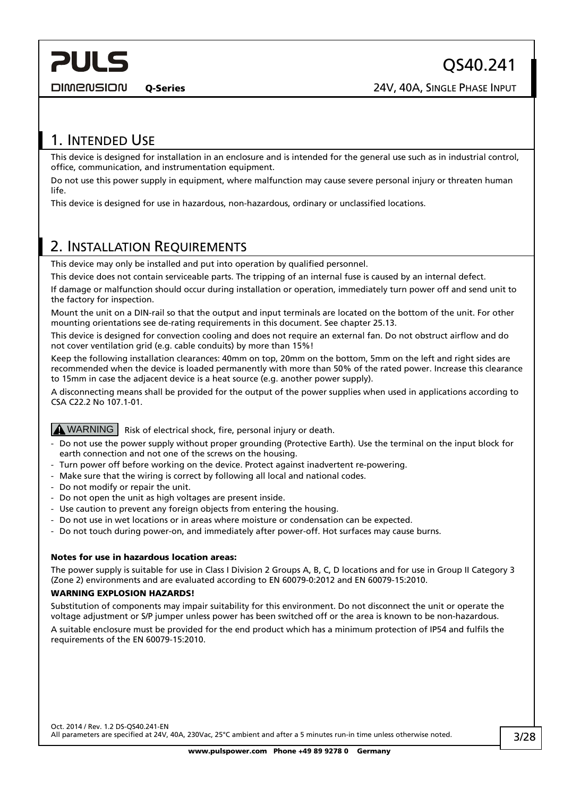<span id="page-2-0"></span>**DIMENSION** 

## 1. INTENDED USE

This device is designed for installation in an enclosure and is intended for the general use such as in industrial control, office, communication, and instrumentation equipment.

Do not use this power supply in equipment, where malfunction may cause severe personal injury or threaten human life.

This device is designed for use in hazardous, non-hazardous, ordinary or unclassified locations.

## <span id="page-2-1"></span>2. INSTALLATION REQUIREMENTS

This device may only be installed and put into operation by qualified personnel.

This device does not contain serviceable parts. The tripping of an internal fuse is caused by an internal defect.

If damage or malfunction should occur during installation or operation, immediately turn power off and send unit to the factory for inspection.

Mount the unit on a DIN-rail so that the output and input terminals are located on the bottom of the unit. For other mounting orientations see de-rating requirements in this document. See chapter [25.13.](#page-27-1)

This device is designed for convection cooling and does not require an external fan. Do not obstruct airflow and do not cover ventilation grid (e.g. cable conduits) by more than 15%!

Keep the following installation clearances: 40mm on top, 20mm on the bottom, 5mm on the left and right sides are recommended when the device is loaded permanently with more than 50% of the rated power. Increase this clearance to 15mm in case the adjacent device is a heat source (e.g. another power supply).

A disconnecting means shall be provided for the output of the power supplies when used in applications according to CSA C22.2 No 107.1-01.

#### $\Delta$  WARNING  $\overline{\phantom{a}}$  Risk of electrical shock, fire, personal injury or death.

- Do not use the power supply without proper grounding (Protective Earth). Use the terminal on the input block for earth connection and not one of the screws on the housing.
- Turn power off before working on the device. Protect against inadvertent re-powering.
- Make sure that the wiring is correct by following all local and national codes.
- Do not modify or repair the unit.
- Do not open the unit as high voltages are present inside.
- Use caution to prevent any foreign objects from entering the housing.
- Do not use in wet locations or in areas where moisture or condensation can be expected.
- Do not touch during power-on, and immediately after power-off. Hot surfaces may cause burns.

#### Notes for use in hazardous location areas:

The power supply is suitable for use in Class I Division 2 Groups A, B, C, D locations and for use in Group II Category 3 (Zone 2) environments and are evaluated according to EN 60079-0:2012 and EN 60079-15:2010.

#### WARNING EXPLOSION HAZARDS!

Substitution of components may impair suitability for this environment. Do not disconnect the unit or operate the voltage adjustment or S/P jumper unless power has been switched off or the area is known to be non-hazardous. A suitable enclosure must be provided for the end product which has a minimum protection of IP54 and fulfils the requirements of the EN 60079-15:2010.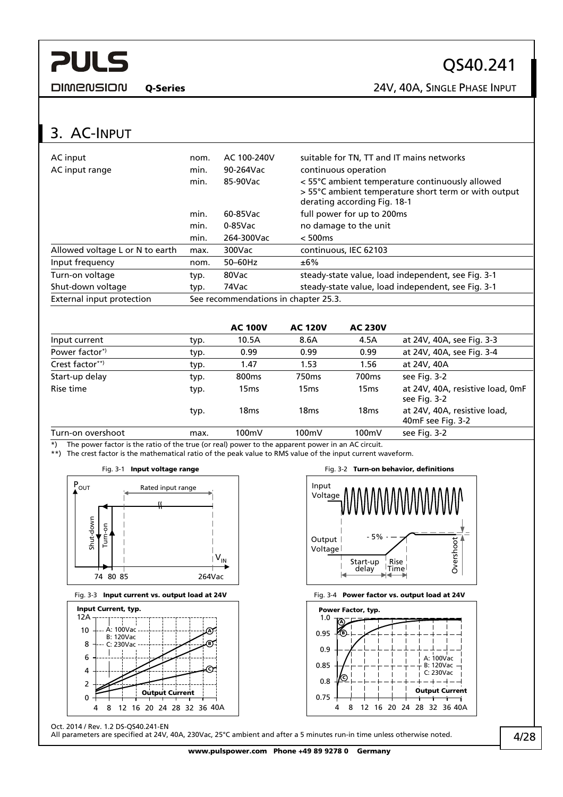<span id="page-3-0"></span>**DIMENSION** 

QS40.241

Q-Series 24V, 40A, SINGLE PHASE INPUT

## 3. AC-INPUT

| AC input<br>AC input range      | nom.<br>min. | AC 100-240V<br>$90-264$ Vac          | suitable for TN, TT and IT mains networks<br>continuous operation                                                                       |
|---------------------------------|--------------|--------------------------------------|-----------------------------------------------------------------------------------------------------------------------------------------|
|                                 | min.         | 85-90Vac                             | < 55°C ambient temperature continuously allowed<br>> 55°C ambient temperature short term or with output<br>derating according Fig. 18-1 |
|                                 | min.         | 60-85Vac                             | full power for up to 200ms                                                                                                              |
|                                 | min.         | $0-85$ Vac                           | no damage to the unit                                                                                                                   |
|                                 | min.         | 264-300Vac                           | < 500ms                                                                                                                                 |
| Allowed voltage L or N to earth | max.         | 300Vac                               | continuous, IEC 62103                                                                                                                   |
| Input frequency                 | nom.         | $50-60$ Hz                           | ±6%                                                                                                                                     |
| Turn-on voltage                 | typ.         | 80Vac                                | steady-state value, load independent, see Fig. 3-1                                                                                      |
| Shut-down voltage               | typ.         | 74Vac                                | steady-state value, load independent, see Fig. 3-1                                                                                      |
| External input protection       |              | See recommendations in chapter 25.3. |                                                                                                                                         |

|                           |      | <b>AC 100V</b>    | <b>AC 120V</b>   | <b>AC 230V</b>    |                                                   |
|---------------------------|------|-------------------|------------------|-------------------|---------------------------------------------------|
| Input current             | typ. | 10.5A             | 8.6A             | 4.5A              | at 24V, 40A, see Fig. 3-3                         |
| Power factor <sup>*</sup> | typ. | 0.99              | 0.99             | 0.99              | at 24V, 40A, see Fig. 3-4                         |
| Crest factor**)           | typ. | 1.47              | 1.53             | 1.56              | at 24V, 40A                                       |
| Start-up delay            | typ. | 800 <sub>ms</sub> | 750ms            | 700 <sub>ms</sub> | see Fig. 3-2                                      |
| Rise time                 | typ. | 15 <sub>ms</sub>  | 15ms             | 15 <sub>ms</sub>  | at 24V, 40A, resistive load, 0mF<br>see Fig. 3-2  |
|                           | typ. | 18 <sub>ms</sub>  | 18 <sub>ms</sub> | 18 <sub>ms</sub>  | at 24V, 40A, resistive load,<br>40mF see Fig. 3-2 |
| Turn-on overshoot         | max. | 100mV             | 100mV            | 100mV             | see Fig. 3-2                                      |

Input

<span id="page-3-1"></span>\*) The power factor is the ratio of the true (or real) power to the apparent power in an AC circuit. \*\*) The crest factor is the mathematical ratio of the peak value to RMS value of the input current waveform.





<span id="page-3-2"></span>



Voltage Output  $\overline{)$  - 5% Voltage Start-up delay Rise Time  $\blacksquare$ 

Overshoot

Overshoot

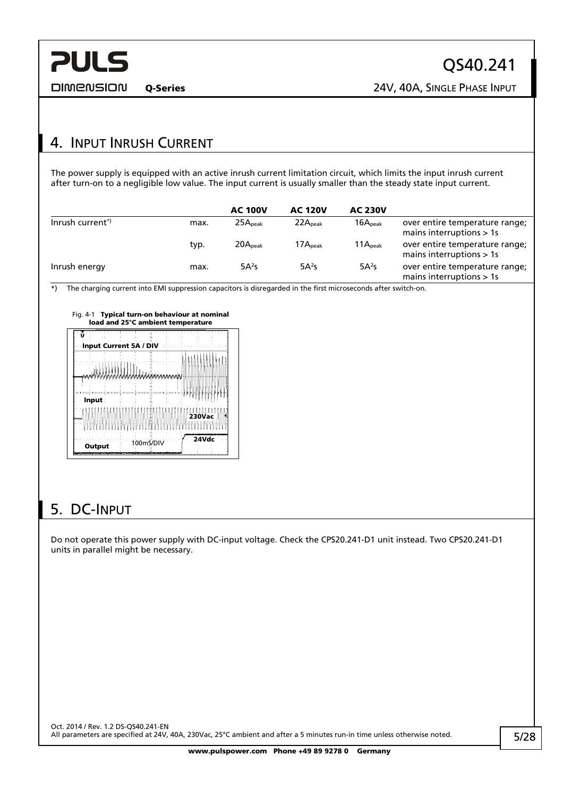<span id="page-4-0"></span>**DIMENSION** 

Q-Series 24V, 40A, SINGLE PHASE INPUT

## 4. INPUT INRUSH CURRENT

The power supply is equipped with an active inrush current limitation circuit, which limits the input inrush current after turn-on to a negligible low value. The input current is usually smaller than the steady state input current.

|                             |      | <b>AC 100V</b>      | <b>AC 120V</b>      | <b>AC 230V</b>      |                                                              |
|-----------------------------|------|---------------------|---------------------|---------------------|--------------------------------------------------------------|
| Inrush current <sup>*</sup> | max. | $25A_{\text{peak}}$ | 22A <sub>peak</sub> | 16A <sub>peak</sub> | over entire temperature range;<br>mains interruptions $> 1s$ |
|                             | typ. | 20A <sub>peak</sub> | $17A_{\rm peak}$    | 11A <sub>peak</sub> | over entire temperature range;<br>mains interruptions $> 1s$ |
| Inrush energy               | max. | 5A <sup>2</sup> S   | 5A <sup>2</sup> S   | $5A^2s$             | over entire temperature range;<br>mains interruptions > 1s   |

\*) The charging current into EMI suppression capacitors is disregarded in the first microseconds after switch-on.

| Input Current 5A / DIV |  |  |  |        |  |
|------------------------|--|--|--|--------|--|
|                        |  |  |  |        |  |
|                        |  |  |  |        |  |
|                        |  |  |  |        |  |
|                        |  |  |  |        |  |
|                        |  |  |  |        |  |
| Input                  |  |  |  |        |  |
|                        |  |  |  |        |  |
|                        |  |  |  | 230Vac |  |
|                        |  |  |  |        |  |

# 5. DC-INPUT

Do not operate this power supply with DC-input voltage. Check the CPS20.241-D1 unit instead. Two CPS20.241-D1 units in parallel might be necessary.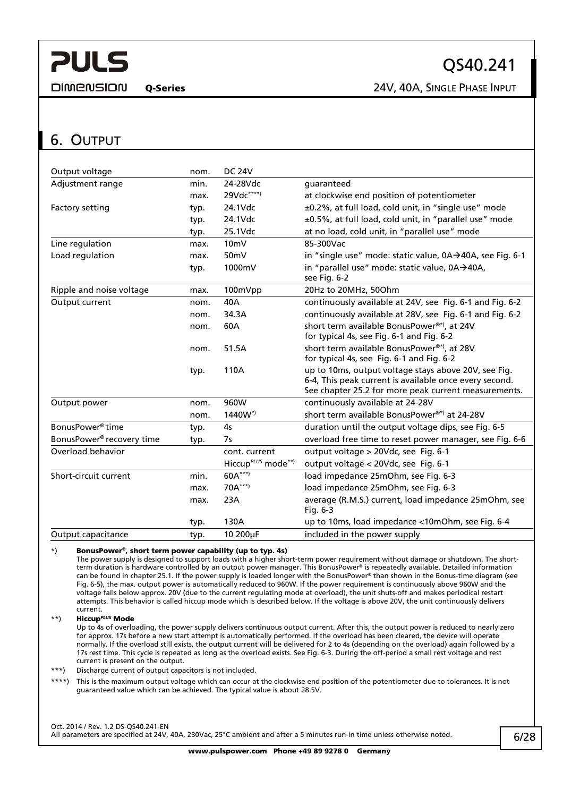<span id="page-5-0"></span>**DIMENSION** 

Q-Series 24V, 40A, SINGLE PHASE INPUT

## <span id="page-5-1"></span>6. OUTPUT

| Output voltage                        | nom. | <b>DC 24V</b>                  |                                                                                                                                                                        |
|---------------------------------------|------|--------------------------------|------------------------------------------------------------------------------------------------------------------------------------------------------------------------|
| Adjustment range                      | min. | 24-28Vdc                       | guaranteed                                                                                                                                                             |
|                                       | max. | 29Vdc****)                     | at clockwise end position of potentiometer                                                                                                                             |
| Factory setting                       | typ. | 24.1Vdc                        | ±0.2%, at full load, cold unit, in "single use" mode                                                                                                                   |
|                                       | typ. | 24.1Vdc                        | ±0.5%, at full load, cold unit, in "parallel use" mode                                                                                                                 |
|                                       | typ. | 25.1Vdc                        | at no load, cold unit, in "parallel use" mode                                                                                                                          |
| Line regulation                       | max. | 10 <sub>m</sub>                | 85-300Vac                                                                                                                                                              |
| Load regulation                       | max. | 50mV                           | in "single use" mode: static value, 0A→40A, see Fig. 6-1                                                                                                               |
|                                       | typ. | 1000mV                         | in "parallel use" mode: static value, 0A→40A,<br>see Fig. 6-2                                                                                                          |
| Ripple and noise voltage              | max. | 100mVpp                        | 20Hz to 20MHz, 50Ohm                                                                                                                                                   |
| Output current                        | nom. | 40A                            | continuously available at 24V, see Fig. 6-1 and Fig. 6-2                                                                                                               |
|                                       | nom. | 34.3A                          | continuously available at 28V, see Fig. 6-1 and Fig. 6-2                                                                                                               |
|                                       | nom. | 60A                            | short term available BonusPower®*), at 24V<br>for typical 4s, see Fig. 6-1 and Fig. 6-2                                                                                |
|                                       | nom. | 51.5A                          | short term available BonusPower®*), at 28V<br>for typical 4s, see Fig. 6-1 and Fig. 6-2                                                                                |
|                                       | typ. | 110A                           | up to 10ms, output voltage stays above 20V, see Fig.<br>6-4, This peak current is available once every second.<br>See chapter 25.2 for more peak current measurements. |
| Output power                          | nom. | 960W                           | continuously available at 24-28V                                                                                                                                       |
|                                       | nom. | $1440W^*$                      | short term available BonusPower <sup>®*)</sup> at 24-28V                                                                                                               |
| BonusPower <sup>®</sup> time          | typ. | 4s                             | duration until the output voltage dips, see Fig. 6-5                                                                                                                   |
| BonusPower <sup>®</sup> recovery time | typ. | 7s                             | overload free time to reset power manager, see Fig. 6-6                                                                                                                |
| Overload behavior                     |      | cont. current                  | output voltage > 20Vdc, see Fig. 6-1                                                                                                                                   |
|                                       |      | Hiccup <sup>PLUS</sup> mode**) | output voltage < 20Vdc, see Fig. 6-1                                                                                                                                   |
| Short-circuit current                 | min. | 60A***)                        | load impedance 25mOhm, see Fig. 6-3                                                                                                                                    |
|                                       | max. | $70A***$                       | load impedance 25mOhm, see Fig. 6-3                                                                                                                                    |
|                                       | max. | 23A                            | average (R.M.S.) current, load impedance 25mOhm, see<br>Fig. 6-3                                                                                                       |
|                                       | typ. | 130A                           | up to 10ms, load impedance <10mOhm, see Fig. 6-4                                                                                                                       |
| Output capacitance                    | typ. | 10 200µF                       | included in the power supply                                                                                                                                           |

#### \*) BonusPower®, short term power capability (up to typ. 4s)

The power supply is designed to support loads with a higher short-term power requirement without damage or shutdown. The shortterm duration is hardware controlled by an output power manager. This BonusPower® is repeatedly available. Detailed information can be found in chapter [25.1](#page-21-1). If the power supply is loaded longer with the BonusPower® than shown in the Bonus-time diagram (see [Fig. 6-5](#page-6-2)), the max. output power is automatically reduced to 960W. If the power requirement is continuously above 960W and the voltage falls below approx. 20V (due to the current regulating mode at overload), the unit shuts-off and makes periodical restart attempts. This behavior is called hiccup mode which is described below. If the voltage is above 20V, the unit continuously delivers current.

#### \*\*) Hiccup*PLUS* Mode

Up to 4s of overloading, the power supply delivers continuous output current. After this, the output power is reduced to nearly zero for approx. 17s before a new start attempt is automatically performed. If the overload has been cleared, the device will operate normally. If the overload still exists, the output current will be delivered for 2 to 4s (depending on the overload) again followed by a 17s rest time. This cycle is repeated as long as the overload exists. See [Fig. 6-3](#page-6-1). During the off-period a small rest voltage and rest current is present on the output.

\*\*\*) Discharge current of output capacitors is not included.

\*\*\*\*) This is the maximum output voltage which can occur at the clockwise end position of the potentiometer due to tolerances. It is not guaranteed value which can be achieved. The typical value is about 28.5V.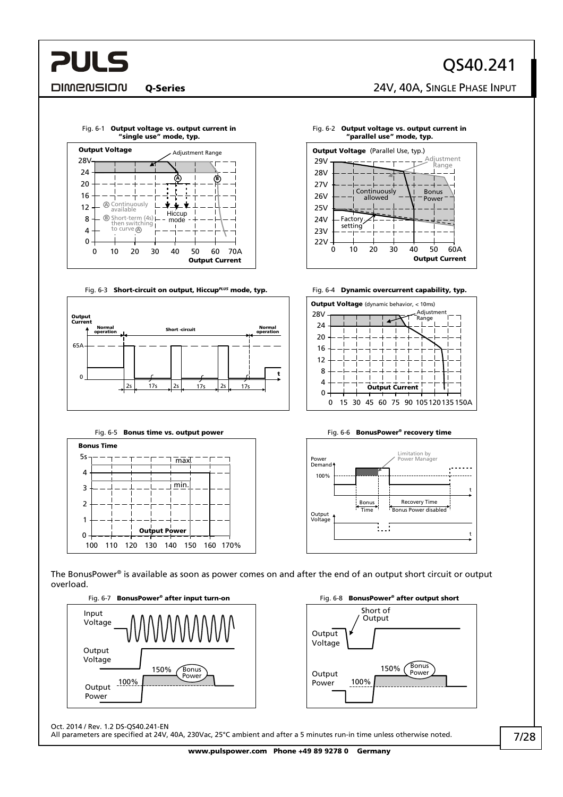# QS40.241

Q-Series 24V, 40A, SINGLE PHASE INPUT

Adjustment Range

Bonus Power

50 60A

**Output Current** 

<span id="page-6-0"></span>**DIMENSION** 

**PULS** 



#### Fig. 6-1 Output voltage vs. output current in "single use" mode, typ.



<span id="page-6-1"></span>

<span id="page-6-2"></span>

0 10 20 30 40

**Continuously** allowed

Factory setting

Fig. 6-2 Output voltage vs. output current in "parallel use" mode, typ.

**Output Voltage** (Parallel Use, typ.)

22V

23V 24V 25V

29V

26V  $27V$ 28V







The BonusPower® is available as soon as power comes on and after the end of an output short circuit or output overload.





Oct. 2014 / Rev. 1.2 DS-QS40.241-EN

All parameters are specified at 24V, 40A, 230Vac, 25°C ambient and after a 5 minutes run-in time unless otherwise noted.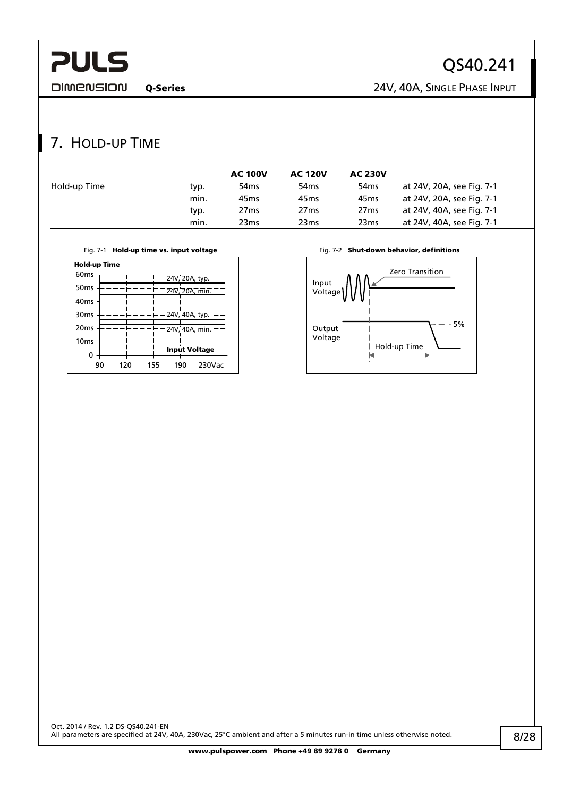<span id="page-7-0"></span>**DIMENSION** 

# QS40.241

Q-Series 24V, 40A, SINGLE PHASE INPUT

## 7. HOLD-UP TIME

|              |      | <b>AC 100V</b>   | <b>AC 120V</b>   | <b>AC 230V</b>   |                           |
|--------------|------|------------------|------------------|------------------|---------------------------|
| Hold-up Time | typ. | 54 <sub>ms</sub> | 54 <sub>ms</sub> | 54 <sub>ms</sub> | at 24V, 20A, see Fig. 7-1 |
|              | min. | 45 <sub>ms</sub> | 45 <sub>ms</sub> | 45 <sub>ms</sub> | at 24V, 20A, see Fig. 7-1 |
|              | typ. | 27 <sub>ms</sub> | 27 <sub>ms</sub> | 27 <sub>ms</sub> | at 24V, 40A, see Fig. 7-1 |
|              | min. | 23 <sub>ms</sub> | 23ms             | 23 <sub>ms</sub> | at 24V, 40A, see Fig. 7-1 |



<span id="page-7-1"></span>

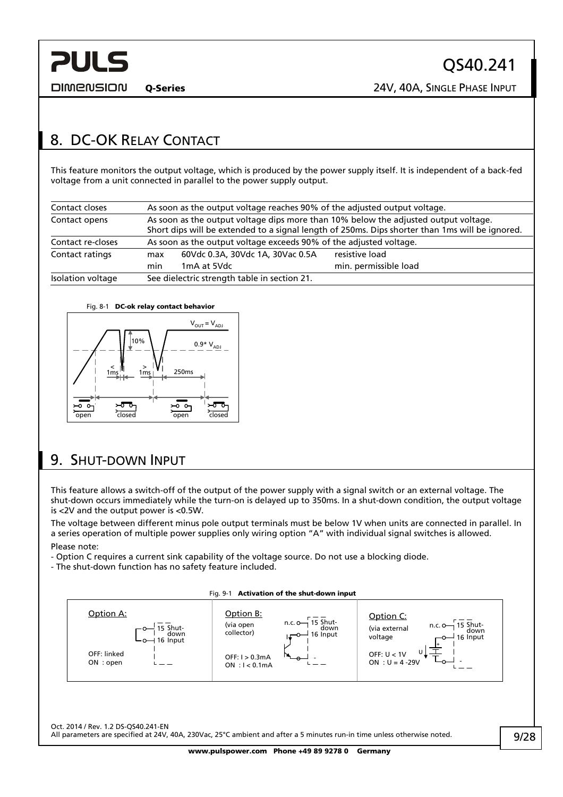<span id="page-8-0"></span>**DIMENSION** 

# <span id="page-8-1"></span>8. DC-OK RELAY CONTACT

This feature monitors the output voltage, which is produced by the power supply itself. It is independent of a back-fed voltage from a unit connected in parallel to the power supply output.

| Contact closes    | As soon as the output voltage reaches 90% of the adjusted output voltage.                                                                                                              |                                                                    |  |  |  |  |  |  |
|-------------------|----------------------------------------------------------------------------------------------------------------------------------------------------------------------------------------|--------------------------------------------------------------------|--|--|--|--|--|--|
| Contact opens     | As soon as the output voltage dips more than 10% below the adjusted output voltage.<br>Short dips will be extended to a signal length of 250ms. Dips shorter than 1ms will be ignored. |                                                                    |  |  |  |  |  |  |
| Contact re-closes |                                                                                                                                                                                        | As soon as the output voltage exceeds 90% of the adjusted voltage. |  |  |  |  |  |  |
| Contact ratings   | max                                                                                                                                                                                    | resistive load<br>60Vdc 0.3A, 30Vdc 1A, 30Vac 0.5A                 |  |  |  |  |  |  |
|                   | min. permissible load<br>1mA at 5Vdc<br>min                                                                                                                                            |                                                                    |  |  |  |  |  |  |
| Isolation voltage | See dielectric strength table in section 21.                                                                                                                                           |                                                                    |  |  |  |  |  |  |

#### Fig. 8-1 DC-ok relay contact behavior



## <span id="page-8-2"></span>9. SHUT-DOWN INPUT

This feature allows a switch-off of the output of the power supply with a signal switch or an external voltage. The shut-down occurs immediately while the turn-on is delayed up to 350ms. In a shut-down condition, the output voltage is <2V and the output power is <0.5W.

The voltage between different minus pole output terminals must be below 1V when units are connected in parallel. In a series operation of multiple power supplies only wiring option "A" with individual signal switches is allowed. Please note:

- Option C requires a current sink capability of the voltage source. Do not use a blocking diode.
- The shut-down function has no safety feature included.

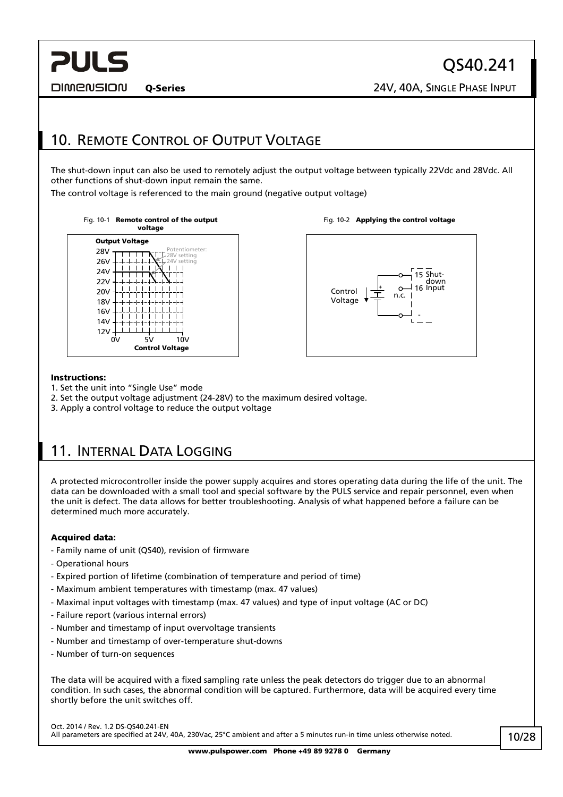<span id="page-9-0"></span>**DIMENSION** 

# <span id="page-9-1"></span>10. REMOTE CONTROL OF OUTPUT VOLTAGE

The shut-down input can also be used to remotely adjust the output voltage between typically 22Vdc and 28Vdc. All other functions of shut-down input remain the same.

The control voltage is referenced to the main ground (negative output voltage)









#### Instructions:

- 1. Set the unit into "Single Use" mode
- 2. Set the output voltage adjustment (24-28V) to the maximum desired voltage.
- 3. Apply a control voltage to reduce the output voltage

## 11. INTERNAL DATA LOGGING

A protected microcontroller inside the power supply acquires and stores operating data during the life of the unit. The data can be downloaded with a small tool and special software by the PULS service and repair personnel, even when the unit is defect. The data allows for better troubleshooting. Analysis of what happened before a failure can be determined much more accurately.

#### Acquired data:

- Family name of unit (QS40), revision of firmware
- Operational hours
- Expired portion of lifetime (combination of temperature and period of time)
- Maximum ambient temperatures with timestamp (max. 47 values)
- Maximal input voltages with timestamp (max. 47 values) and type of input voltage (AC or DC)
- Failure report (various internal errors)
- Number and timestamp of input overvoltage transients
- Number and timestamp of over-temperature shut-downs
- Number of turn-on sequences

The data will be acquired with a fixed sampling rate unless the peak detectors do trigger due to an abnormal condition. In such cases, the abnormal condition will be captured. Furthermore, data will be acquired every time shortly before the unit switches off.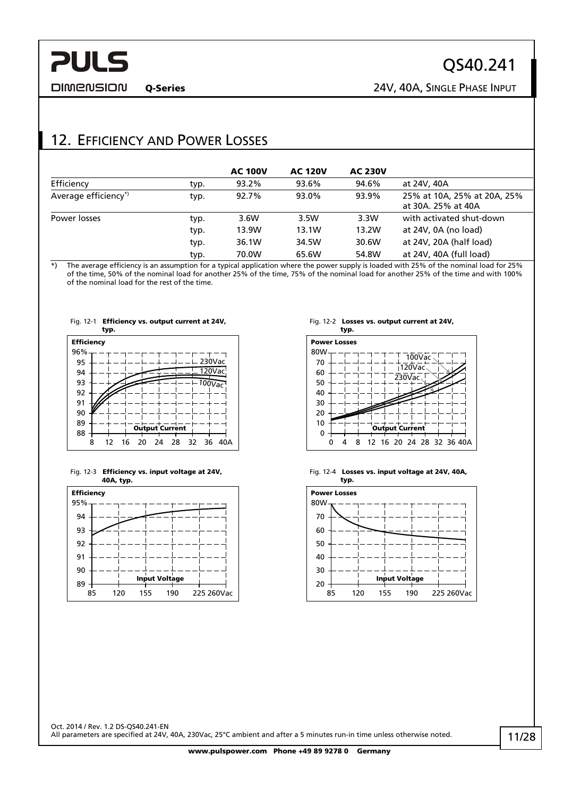<span id="page-10-0"></span>**DIMENSION** 

QS40.241

Q-Series 24V, 40A, SINGLE PHASE INPUT

# 12. EFFICIENCY AND POWER LOSSES

|                      |      | <b>AC 100V</b> | <b>AC 120V</b> | <b>AC 230V</b> |                                                   |
|----------------------|------|----------------|----------------|----------------|---------------------------------------------------|
| Efficiency           | typ. | 93.2%          | 93.6%          | 94.6%          | at 24V, 40A                                       |
| Average efficiency*) | typ. | 92.7%          | 93.0%          | 93.9%          | 25% at 10A, 25% at 20A, 25%<br>at 30A, 25% at 40A |
| Power losses         | typ. | 3.6W           | 3.5W           | 3.3W           | with activated shut-down                          |
|                      | typ. | 13.9W          | 13.1W          | 13.2W          | at 24V, 0A (no load)                              |
|                      | typ. | 36.1W          | 34.5W          | 30.6W          | at 24V, 20A (half load)                           |
|                      | typ. | 70.0W          | 65.6W          | 54.8W          | at 24V, 40A (full load)                           |

\*) The average efficiency is an assumption for a typical application where the power supply is loaded with 25% of the nominal load for 25% of the time, 50% of the nominal load for another 25% of the time, 75% of the nominal load for another 25% of the time and with 100% of the nominal load for the rest of the time.







#### Fig. 12-2 Losses vs. output current at 24V,



Fig. 12-4 Losses vs. input voltage at 24V, 40A,

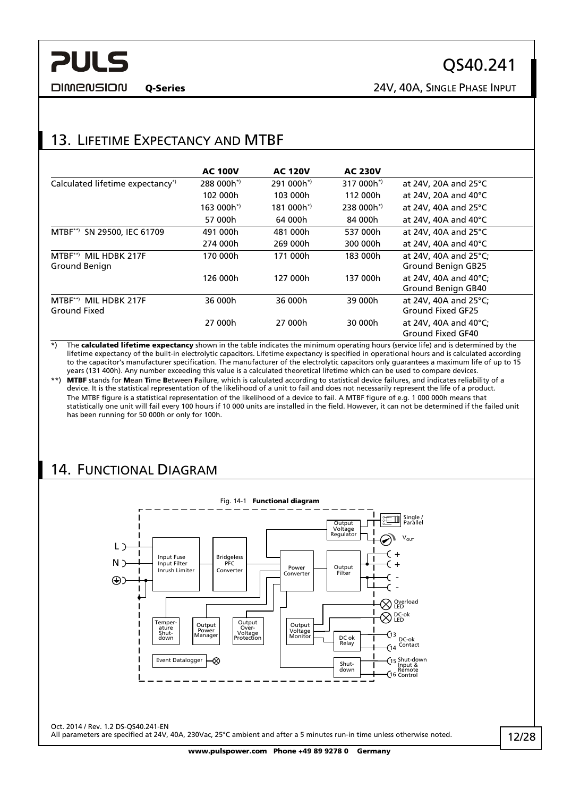Q-Series 24V, 40A, SINGLE PHASE INPUT

# <span id="page-11-0"></span>13. LIFETIME EXPECTANCY AND MTBF

|                                               | <b>AC 100V</b> | <b>AC 120V</b> | <b>AC 230V</b> |                                             |
|-----------------------------------------------|----------------|----------------|----------------|---------------------------------------------|
| Calculated lifetime expectancy <sup>*</sup>   | $288000h^*$    | $291000h^{*}$  | $317000h^*$    | at 24V, 20A and 25°C                        |
|                                               | 102 000h       | 103 000h       | 112 000h       | at 24V, 20A and 40°C                        |
|                                               | 163 000h*)     | $181000h^*$    | $238000h^*$    | at 24V, 40A and 25 $\degree$ C              |
|                                               | 57 000h        | 64 000h        | 84 000h        | at 24V, 40A and 40 $^{\circ}$ C             |
| SN 29500, IEC 61709<br>$MTBF^{**}$            | 491 000h       | 481 000h       | 537 000h       | at 24V, 40A and 25°C                        |
|                                               | 274 000h       | 269 000h       | 300 000h       | at 24V, 40A and 40°C                        |
| $MTBF^{**}$<br>MIL HDRK 217F<br>Ground Benign | 170 000h       | 171 000h       | 183 000h       | at 24V, 40A and 25°C;<br>Ground Benign GB25 |
|                                               | 126 000h       | 127 000h       | 137 000h       | at 24V, 40A and 40°C:<br>Ground Benign GB40 |
| MIL HDBK 217F<br>$MTBF^{(*)}$<br>Ground Fixed | 36 000h        | 36 000h        | 39 000h        | at 24V, 40A and 25°C;<br>Ground Fixed GF25  |
|                                               | 27 000h        | 27 000h        | 30 000h        | at 24V, 40A and 40°C;<br>Ground Fixed GF40  |

\*) The calculated lifetime expectancy shown in the table indicates the minimum operating hours (service life) and is determined by the lifetime expectancy of the built-in electrolytic capacitors. Lifetime expectancy is specified in operational hours and is calculated according to the capacitor's manufacturer specification. The manufacturer of the electrolytic capacitors only guarantees a maximum life of up to 15 years (131 400h). Any number exceeding this value is a calculated theoretical lifetime which can be used to compare devices.

\*\*) MTBF stands for Mean Time Between Failure, which is calculated according to statistical device failures, and indicates reliability of a device. It is the statistical representation of the likelihood of a unit to fail and does not necessarily represent the life of a product. The MTBF figure is a statistical representation of the likelihood of a device to fail. A MTBF figure of e.g. 1 000 000h means that statistically one unit will fail every 100 hours if 10 000 units are installed in the field. However, it can not be determined if the failed unit has been running for 50 000h or only for 100h.

## 14. FUNCTIONAL DIAGRAM

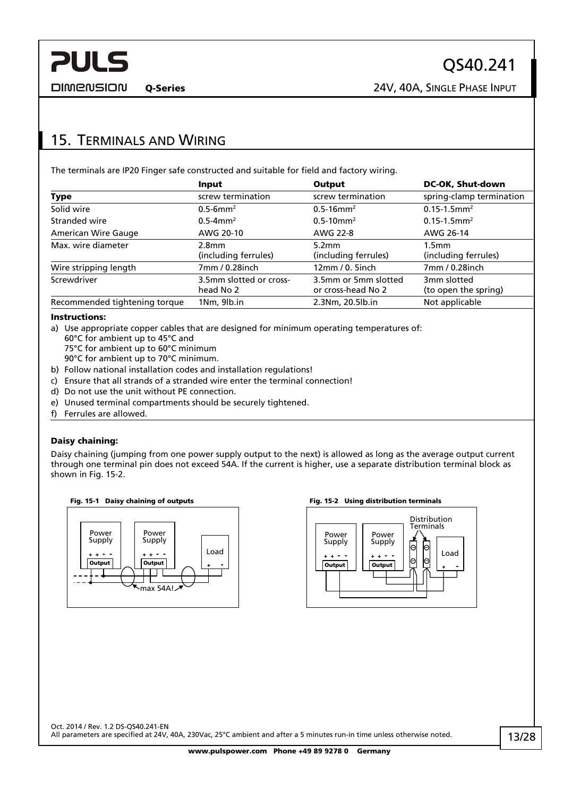Q-Series 24V, 40A, SINGLE PHASE INPUT

## <span id="page-12-0"></span>15. TERMINALS AND WIRING

The terminals are IP20 Finger safe constructed and suitable for field and factory wiring.

|                               | Input                                | Output                                     | <b>DC-OK, Shut-down</b>                   |
|-------------------------------|--------------------------------------|--------------------------------------------|-------------------------------------------|
| Type                          | screw termination                    | screw termination                          | spring-clamp termination                  |
| Solid wire                    | $0.5 - 6$ mm <sup>2</sup>            | $0.5 - 16$ mm <sup>2</sup>                 | $0.15 - 1.5$ mm <sup>2</sup>              |
| Stranded wire                 | $0.5 - 4$ mm <sup>2</sup>            | $0.5 - 10$ mm <sup>2</sup>                 | $0.15 - 1.5$ mm <sup>2</sup>              |
| <b>American Wire Gauge</b>    | AWG 20-10                            | AWG 22-8                                   | AWG 26-14                                 |
| Max. wire diameter            | 2.8mm<br>(including ferrules)        | 5.2mm<br>(including ferrules)              | 1.5 <sub>mm</sub><br>(including ferrules) |
| Wire stripping length         | 7mm / 0.28inch                       | $12mm/0.$ 5inch                            | 7mm / 0.28inch                            |
| Screwdriver                   | 3.5mm slotted or cross-<br>head No 2 | 3.5mm or 5mm slotted<br>or cross-head No 2 | 3mm slotted<br>(to open the spring)       |
| Recommended tightening torque | 1Nm, 9lb.in                          | 2.3Nm, 20.5lb.in                           | Not applicable                            |

#### Instructions:

a) Use appropriate copper cables that are designed for minimum operating temperatures of:

- 60°C for ambient up to 45°C and
- 75°C for ambient up to 60°C minimum
- 90°C for ambient up to 70°C minimum.
- b) Follow national installation codes and installation regulations!
- c) Ensure that all strands of a stranded wire enter the terminal connection!
- d) Do not use the unit without PE connection.
- e) Unused terminal compartments should be securely tightened.
- f) Ferrules are allowed.

#### Daisy chaining:

Daisy chaining (jumping from one power supply output to the next) is allowed as long as the average output current through one terminal pin does not exceed 54A. If the current is higher, use a separate distribution terminal block as shown in [Fig. 15-2.](#page-12-1)



<span id="page-12-1"></span>

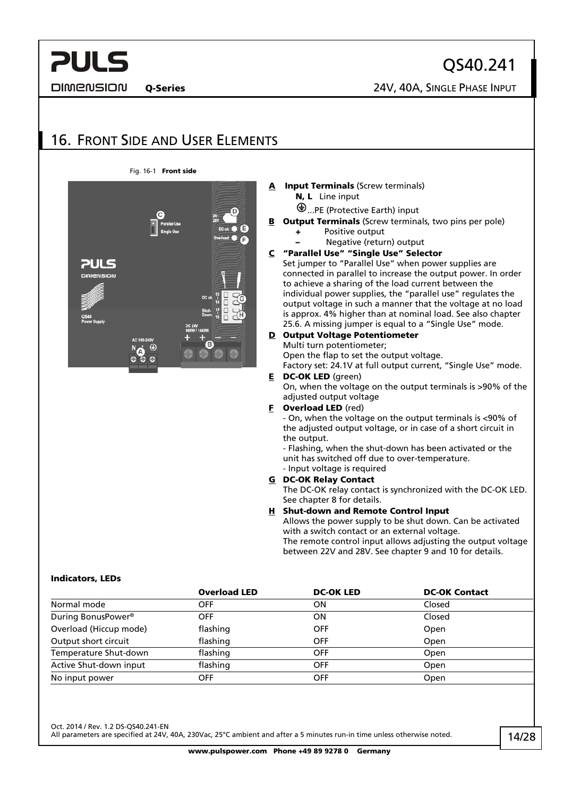<span id="page-13-0"></span>**DIMENSION** 

QS40.241 Q-Series 24V, 40A, SINGLE PHASE INPUT

## 16. FRONT SIDE AND USER ELEMENTS



#### **Input Terminals (Screw terminals)** N, L Line input

- ...PE (Protective Earth) input
- **B** Output Terminals (Screw terminals, two pins per pole)
	- + Positive output
		- Negative (return) output

#### C "Parallel Use" "Single Use" Selector

Set jumper to "Parallel Use" when power supplies are connected in parallel to increase the output power. In order to achieve a sharing of the load current between the individual power supplies, the "parallel use" regulates the output voltage in such a manner that the voltage at no load is approx. 4% higher than at nominal load. See also chapter [25.6.](#page-24-1) A missing jumper is equal to a "Single Use" mode.

#### D Output Voltage Potentiometer Multi turn potentiometer;

Open the flap to set the output voltage.

Factory set: 24.1V at full output current, "Single Use" mode. **E** DC-OK LED (green)

On, when the voltage on the output terminals is >90% of the adjusted output voltage

#### **F** Overload LED (red)

- On, when the voltage on the output terminals is <90% of the adjusted output voltage, or in case of a short circuit in the output.

- Flashing, when the shut-down has been activated or the unit has switched off due to over-temperature. - Input voltage is required

### G DC-OK Relay Contact

The DC-OK relay contact is synchronized with the DC-OK LED. See chapter [8](#page-8-1) for details.

#### H Shut-down and Remote Control Input

Allows the power supply to be shut down. Can be activated with a switch contact or an external voltage. The remote control input allows adjusting the output voltage between 22V and 28V. See chapter [9](#page-8-2) and [10](#page-9-1) for details.

#### Indicators, LEDs

|                                    | <b>Overload LED</b> | <b>DC-OK LED</b> | <b>DC-OK Contact</b> |
|------------------------------------|---------------------|------------------|----------------------|
| Normal mode                        | OFF                 | ΟN               | Closed               |
| During BonusPower <sup>®</sup>     | <b>OFF</b>          | ΟN               | Closed               |
| Overload (Hiccup mode)             | flashing            | <b>OFF</b>       | Open                 |
| Output short circuit               | flashing            | <b>OFF</b>       | Open                 |
| Temperature Shut-down              | flashing            | <b>OFF</b>       | Open                 |
| Active Shut-down input<br>flashing |                     | <b>OFF</b>       | Open                 |
| No input power                     | OFF                 | <b>OFF</b>       | Open                 |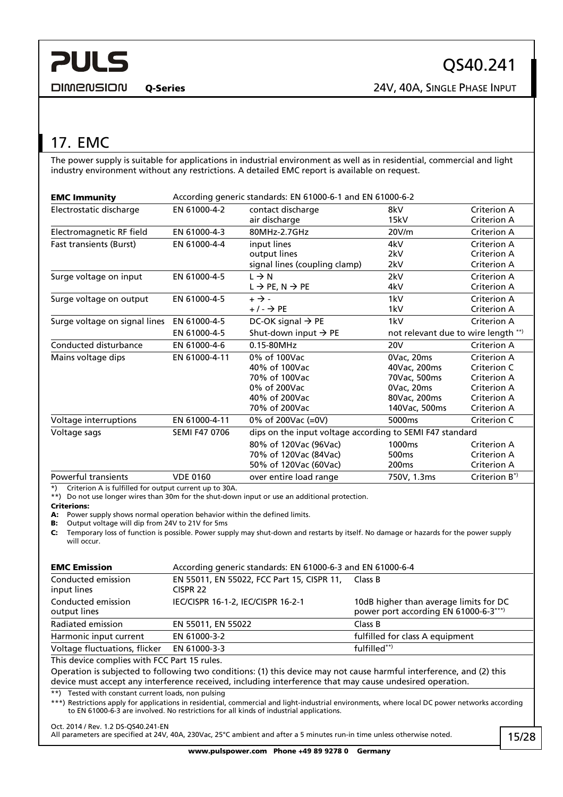## <span id="page-14-0"></span>17. EMC

The power supply is suitable for applications in industrial environment as well as in residential, commercial and light industry environment without any restrictions. A detailed EMC report is available on request.

| <b>EMC Immunity</b>            | According generic standards: EN 61000-6-1 and EN 61000-6-2 |                                                          |                                     |                            |  |  |
|--------------------------------|------------------------------------------------------------|----------------------------------------------------------|-------------------------------------|----------------------------|--|--|
| Electrostatic discharge        | EN 61000-4-2                                               | contact discharge<br>air discharge                       | 8kV<br>15kV                         | Criterion A<br>Criterion A |  |  |
| Electromagnetic RF field       | EN 61000-4-3                                               | 80MHz-2.7GHz                                             | 20V/m                               | Criterion A                |  |  |
| <b>Fast transients (Burst)</b> | EN 61000-4-4                                               | input lines                                              | 4kV                                 | Criterion A                |  |  |
|                                |                                                            | output lines                                             | 2kV                                 | <b>Criterion A</b>         |  |  |
|                                |                                                            | signal lines (coupling clamp)                            | 2kV                                 | Criterion A                |  |  |
| Surge voltage on input         | EN 61000-4-5                                               | $L \rightarrow N$                                        | 2kV                                 | Criterion A                |  |  |
|                                |                                                            | $L \rightarrow PE, N \rightarrow PE$                     | 4kV                                 | Criterion A                |  |  |
| Surge voltage on output        | EN 61000-4-5                                               | $+ \rightarrow -$                                        | 1kV                                 | Criterion A                |  |  |
|                                |                                                            | $+/- \rightarrow PE$                                     | 1kV                                 | Criterion A                |  |  |
| Surge voltage on signal lines  | EN 61000-4-5                                               | DC-OK signal $\rightarrow$ PE                            | 1kV                                 | Criterion A                |  |  |
|                                | Shut-down input $\rightarrow$ PE<br>EN 61000-4-5           |                                                          | not relevant due to wire length **) |                            |  |  |
| Conducted disturbance          | EN 61000-4-6                                               | 0.15-80MHz                                               | <b>20V</b>                          | Criterion A                |  |  |
| Mains voltage dips             | EN 61000-4-11                                              | 0% of 100Vac                                             | 0Vac, 20ms                          | <b>Criterion A</b>         |  |  |
|                                |                                                            | 40% of 100Vac                                            | 40Vac, 200ms                        | Criterion C                |  |  |
|                                |                                                            | 70% of 100Vac                                            | 70Vac, 500ms                        | Criterion A                |  |  |
|                                |                                                            | 0% of 200Vac                                             | 0Vac, 20ms                          | Criterion A                |  |  |
|                                |                                                            | 40% of 200Vac                                            | 80Vac, 200ms                        | Criterion A                |  |  |
|                                |                                                            | 70% of 200Vac                                            | 140Vac, 500ms                       | Criterion A                |  |  |
| Voltage interruptions          | EN 61000-4-11                                              | 0% of 200Vac (=0V)                                       | 5000ms                              | Criterion C                |  |  |
| Voltage sags                   | <b>SEMI F47 0706</b>                                       | dips on the input voltage according to SEMI F47 standard |                                     |                            |  |  |
|                                |                                                            | 80% of 120Vac (96Vac)                                    | 1000 <sub>ms</sub>                  | <b>Criterion A</b>         |  |  |
|                                |                                                            | 70% of 120Vac (84Vac)                                    | 500 <sub>ms</sub>                   | <b>Criterion A</b>         |  |  |
|                                |                                                            | 50% of 120Vac (60Vac)                                    | 200 <sub>ms</sub>                   | Criterion A                |  |  |
| Powerful transients            | <b>VDE 0160</b>                                            | over entire load range                                   | 750V, 1.3ms                         | Criterion $B^*$            |  |  |

\*) Criterion A is fulfilled for output current up to 30A.

\*\*) Do not use longer wires than 30m for the shut-down input or use an additional protection.

#### Criterions:

A: Power supply shows normal operation behavior within the defined limits.

B: Output voltage will dip from 24V to 21V for 5ms

C: Temporary loss of function is possible. Power supply may shut-down and restarts by itself. No damage or hazards for the power supply will occur.

| <b>EMC Emission</b>                | According generic standards: EN 61000-6-3 and EN 61000-6-4        |                                                                                 |  |  |  |
|------------------------------------|-------------------------------------------------------------------|---------------------------------------------------------------------------------|--|--|--|
| Conducted emission<br>input lines  | EN 55011, EN 55022, FCC Part 15, CISPR 11,<br>CISPR <sub>22</sub> | Class B                                                                         |  |  |  |
| Conducted emission<br>output lines | IEC/CISPR 16-1-2, IEC/CISPR 16-2-1                                | 10dB higher than average limits for DC<br>power port according EN 61000-6-3***) |  |  |  |
| Radiated emission                  | EN 55011, EN 55022                                                | Class B                                                                         |  |  |  |
| Harmonic input current             | EN 61000-3-2                                                      | fulfilled for class A equipment                                                 |  |  |  |
| Voltage fluctuations, flicker      | EN 61000-3-3                                                      | fulfilled**)                                                                    |  |  |  |

This device complies with FCC Part 15 rules.

Operation is subjected to following two conditions: (1) this device may not cause harmful interference, and (2) this device must accept any interference received, including interference that may cause undesired operation.

\*\*) Tested with constant current loads, non pulsing

\*\*\*) Restrictions apply for applications in residential, commercial and light-industrial environments, where local DC power networks according to EN 61000-6-3 are involved. No restrictions for all kinds of industrial applications.

#### Oct. 2014 / Rev. 1.2 DS-QS40.241-EN

All parameters are specified at 24V, 40A, 230Vac, 25°C ambient and after a 5 minutes run-in time unless otherwise noted.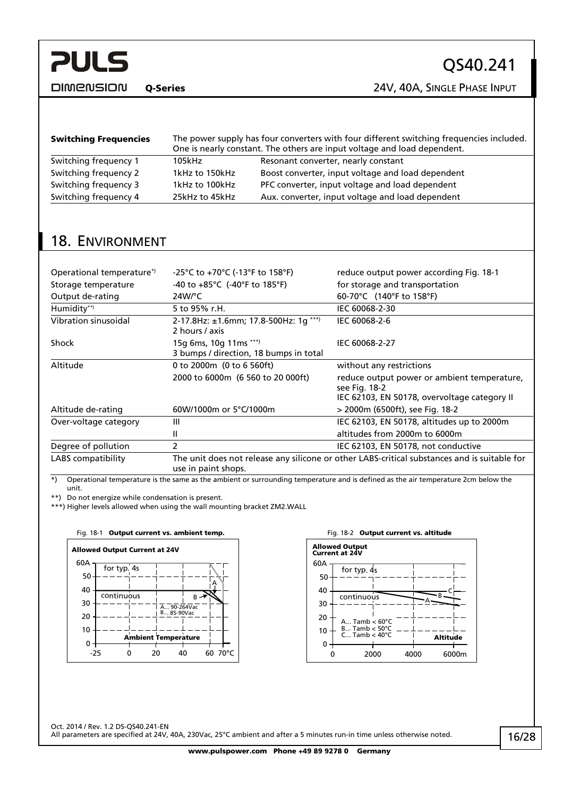<span id="page-15-1"></span>**PULS DIMENSION** 

Q-Series 24V, 40A, SINGLE PHASE INPUT

| <b>Switching Frequencies</b> | The power supply has four converters with four different switching frequencies included.<br>One is nearly constant. The others are input voltage and load dependent. |                                                   |  |  |
|------------------------------|----------------------------------------------------------------------------------------------------------------------------------------------------------------------|---------------------------------------------------|--|--|
| Switching frequency 1        | 105kHz                                                                                                                                                               | Resonant converter, nearly constant               |  |  |
| Switching frequency 2        | 1kHz to 150kHz                                                                                                                                                       | Boost converter, input voltage and load dependent |  |  |
| Switching frequency 3        | 1kHz to 100kHz                                                                                                                                                       | PFC converter, input voltage and load dependent   |  |  |
| Switching frequency 4        | 25kHz to 45kHz                                                                                                                                                       | Aux. converter, input voltage and load dependent  |  |  |

## <span id="page-15-0"></span>18. ENVIRONMENT

| Operational temperature <sup>*</sup> | -25°C to +70°C (-13°F to 158°F)                                                                                     | reduce output power according Fig. 18-1                      |  |  |
|--------------------------------------|---------------------------------------------------------------------------------------------------------------------|--------------------------------------------------------------|--|--|
| Storage temperature                  | $-40$ to $+85^{\circ}$ C (-40°F to 185°F)                                                                           | for storage and transportation                               |  |  |
| Output de-rating                     | $24W$ /°C                                                                                                           | 60-70°C (140°F to 158°F)                                     |  |  |
| Humidity**)                          | 5 to 95% r.H.                                                                                                       | IEC 60068-2-30                                               |  |  |
| Vibration sinusoidal                 | 2-17.8Hz: ±1.6mm; 17.8-500Hz: 1g ***)<br>2 hours / axis                                                             | IEC 60068-2-6                                                |  |  |
| Shock                                | 15g 6ms, 10g 11ms ***)<br>3 bumps / direction, 18 bumps in total                                                    | IEC 60068-2-27                                               |  |  |
| Altitude                             | 0 to 2000m (0 to 6 560ft)                                                                                           | without any restrictions                                     |  |  |
|                                      | 2000 to 6000m (6 560 to 20 000ft)                                                                                   | reduce output power or ambient temperature,<br>see Fig. 18-2 |  |  |
|                                      |                                                                                                                     | IEC 62103, EN 50178, overvoltage category II                 |  |  |
| Altitude de-rating                   | 60W/1000m or 5°C/1000m                                                                                              | > 2000m (6500ft), see Fig. 18-2                              |  |  |
| Over-voltage category                | Ш                                                                                                                   | IEC 62103, EN 50178, altitudes up to 2000m                   |  |  |
|                                      | Ш                                                                                                                   | altitudes from 2000m to 6000m                                |  |  |
| Degree of pollution                  | $\mathcal{P}$                                                                                                       | IEC 62103, EN 50178, not conductive                          |  |  |
| <b>LABS</b> compatibility            | The unit does not release any silicone or other LABS-critical substances and is suitable for<br>use in paint shops. |                                                              |  |  |

\*) Operational temperature is the same as the ambient or surrounding temperature and is defined as the air temperature 2cm below the unit.

\*\*) Do not energize while condensation is present.

<span id="page-15-2"></span>\*\*\*) Higher levels allowed when using the wall mounting bracket ZM2.WALL



| Fig. 18-2 Output current vs. altitude          |                                                         |      |                 |       |  |  |  |  |
|------------------------------------------------|---------------------------------------------------------|------|-----------------|-------|--|--|--|--|
| <b>Allowed Output</b><br><b>Current at 24V</b> |                                                         |      |                 |       |  |  |  |  |
| 60A                                            |                                                         |      |                 |       |  |  |  |  |
| 50                                             | for typ. 4s                                             |      |                 |       |  |  |  |  |
| 40                                             |                                                         |      |                 |       |  |  |  |  |
| 30                                             | continuous                                              |      |                 |       |  |  |  |  |
| 20                                             | A Tamb $< 60^{\circ}$ C                                 |      |                 |       |  |  |  |  |
| 10                                             | $B$ Tamb $< 50^{\circ}$ C<br>C Tamb $<$ 40 $^{\circ}$ C |      |                 |       |  |  |  |  |
| 0                                              |                                                         |      | <b>Altitude</b> |       |  |  |  |  |
|                                                | 2000                                                    | 4000 |                 | 6000m |  |  |  |  |

Oct. 2014 / Rev. 1.2 DS-QS40.241-EN All parameters are specified at 24V, 40A, 230Vac, 25°C ambient and after a 5 minutes run-in time unless otherwise noted.

16/28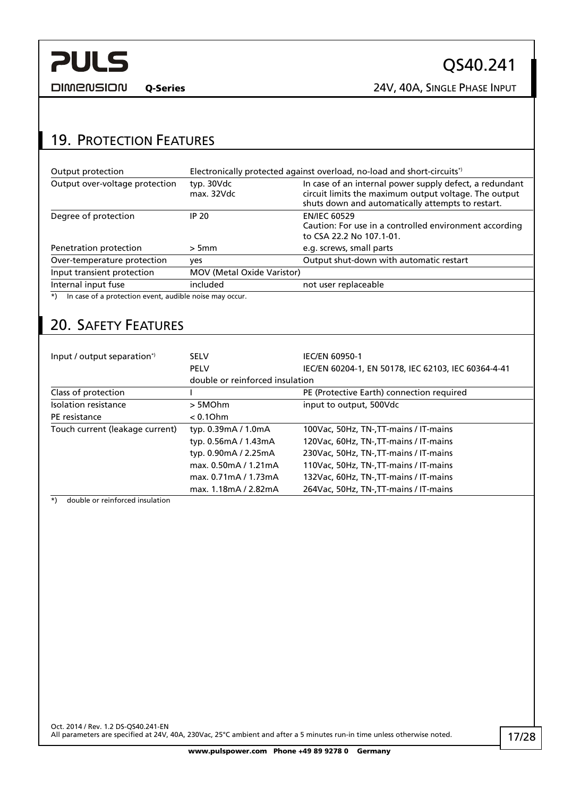<span id="page-16-0"></span>**DIMENSION** 

QS40.241

Q-Series 24V, 40A, SINGLE PHASE INPUT

## 19. PROTECTION FEATURES

| Output protection                                                 |                                   | Electronically protected against overload, no-load and short-circuits <sup>*</sup> )                                                                                  |  |  |  |
|-------------------------------------------------------------------|-----------------------------------|-----------------------------------------------------------------------------------------------------------------------------------------------------------------------|--|--|--|
| Output over-voltage protection                                    | typ. 30Vdc<br>max. 32Vdc          | In case of an internal power supply defect, a redundant<br>circuit limits the maximum output voltage. The output<br>shuts down and automatically attempts to restart. |  |  |  |
| Degree of protection                                              | IP 20                             | <b>EN/IEC 60529</b><br>Caution: For use in a controlled environment according<br>to CSA 22.2 No 107.1-01.                                                             |  |  |  |
| Penetration protection                                            | > 5mm                             | e.g. screws, small parts                                                                                                                                              |  |  |  |
| Over-temperature protection                                       | yes                               | Output shut-down with automatic restart                                                                                                                               |  |  |  |
| Input transient protection                                        | <b>MOV (Metal Oxide Varistor)</b> |                                                                                                                                                                       |  |  |  |
| Internal input fuse                                               | included                          | not user replaceable                                                                                                                                                  |  |  |  |
| In case of a protection event, audible noise may occur.<br>$^{*}$ |                                   |                                                                                                                                                                       |  |  |  |

## 20. SAFETY FEATURES

| Input / output separation*)     | <b>SELV</b>                     | <b>IEC/EN 60950-1</b>                               |  |  |
|---------------------------------|---------------------------------|-----------------------------------------------------|--|--|
|                                 | <b>PELV</b>                     | IEC/EN 60204-1, EN 50178, IEC 62103, IEC 60364-4-41 |  |  |
|                                 | double or reinforced insulation |                                                     |  |  |
| Class of protection             |                                 | PE (Protective Earth) connection required           |  |  |
| Isolation resistance            | > 5MOhm                         | input to output, 500Vdc                             |  |  |
| PE resistance                   | $< 0.1$ Ohm                     |                                                     |  |  |
| Touch current (leakage current) | typ. 0.39mA / 1.0mA             | 100Vac, 50Hz, TN-, TT-mains / IT-mains              |  |  |
|                                 | typ. 0.56mA / 1.43mA            | 120Vac, 60Hz, TN-, TT-mains / IT-mains              |  |  |
|                                 | typ. 0.90mA / 2.25mA            | 230Vac, 50Hz, TN-, TT-mains / IT-mains              |  |  |
|                                 | max. 0.50mA / 1.21mA            | 110Vac, 50Hz, TN-, TT-mains / IT-mains              |  |  |
|                                 | max. 0.71mA / 1.73mA            | 132Vac, 60Hz, TN-, TT-mains / IT-mains              |  |  |
|                                 | max. 1.18mA / 2.82mA            | 264Vac. 50Hz. TN-.TT-mains / IT-mains               |  |  |

\*) double or reinforced insulation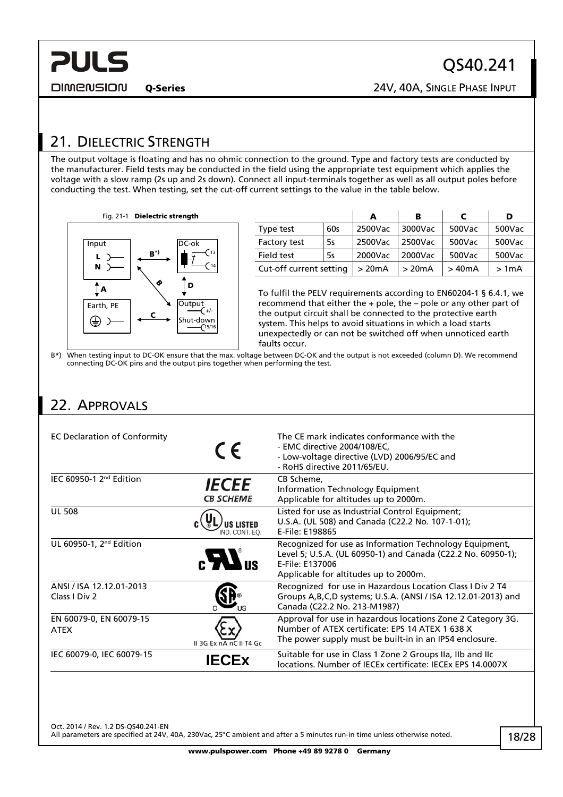## <span id="page-17-1"></span><span id="page-17-0"></span>21. DIELECTRIC STRENGTH

The output voltage is floating and has no ohmic connection to the ground. Type and factory tests are conducted by the manufacturer. Field tests may be conducted in the field using the appropriate test equipment which applies the voltage with a slow ramp (2s up and 2s down). Connect all input-terminals together as well as all output poles before conducting the test. When testing, set the cut-off current settings to the value in the table below.

Fig. 21-1 Dielectric strength



|                         |     | A       | в       | С      | D      |
|-------------------------|-----|---------|---------|--------|--------|
| Type test               | 60s | 2500Vac | 3000Vac | 500Vac | 500Vac |
| Factory test            | 5s  | 2500Vac | 2500Vac | 500Vac | 500Vac |
| Field test              | 5s  | 2000Vac | 2000Vac | 500Vac | 500Vac |
| Cut-off current setting |     | > 20mA  | >20mA   | > 40mA | >1mA   |

To fulfil the PELV requirements according to EN60204-1 § 6.4.1, we recommend that either the + pole, the – pole or any other part of the output circuit shall be connected to the protective earth system. This helps to avoid situations in which a load starts unexpectedly or can not be switched off when unnoticed earth faults occur.

B\*) When testing input to DC-OK ensure that the max. voltage between DC-OK and the output is not exceeded (column D). We recommend connecting DC-OK pins and the output pins together when performing the test.

# 22. APPROVALS

| <b>EC Declaration of Conformity</b>       | $\epsilon$                       | The CE mark indicates conformance with the<br>- EMC directive 2004/108/EC,<br>- Low-voltage directive (LVD) 2006/95/EC and<br>- RoHS directive 2011/65/EU.                          |
|-------------------------------------------|----------------------------------|-------------------------------------------------------------------------------------------------------------------------------------------------------------------------------------|
| IEC 60950-1 $2nd$ Edition                 | <b>IECEE</b><br><b>CB SCHEME</b> | CB Scheme,<br><b>Information Technology Equipment</b><br>Applicable for altitudes up to 2000m.                                                                                      |
| <b>UL 508</b>                             | US LISTED<br>IND CONT FO         | Listed for use as Industrial Control Equipment;<br>U.S.A. (UL 508) and Canada (C22.2 No. 107-1-01);<br>E-File: E198865                                                              |
| UL 60950-1, 2 <sup>nd</sup> Edition       |                                  | Recognized for use as Information Technology Equipment,<br>Level 5; U.S.A. (UL 60950-1) and Canada (C22.2 No. 60950-1);<br>E-File: E137006<br>Applicable for altitudes up to 2000m. |
| ANSI / ISA 12.12.01-2013<br>Class I Div 2 |                                  | Recognized for use in Hazardous Location Class I Div 2 T4<br>Groups A, B, C, D systems; U.S.A. (ANSI / ISA 12.12.01-2013) and<br>Canada (C22.2 No. 213-M1987)                       |
| EN 60079-0, EN 60079-15<br><b>ATEX</b>    | II 3G Ex nA nC II T4 Gc          | Approval for use in hazardous locations Zone 2 Category 3G.<br>Number of ATEX certificate: EPS 14 ATEX 1 638 X<br>The power supply must be built-in in an IP54 enclosure.           |
| IEC 60079-0, IEC 60079-15                 |                                  | Suitable for use in Class 1 Zone 2 Groups IIa, IIb and IIc<br>locations. Number of IECEx certificate: IECEx EPS 14.0007X                                                            |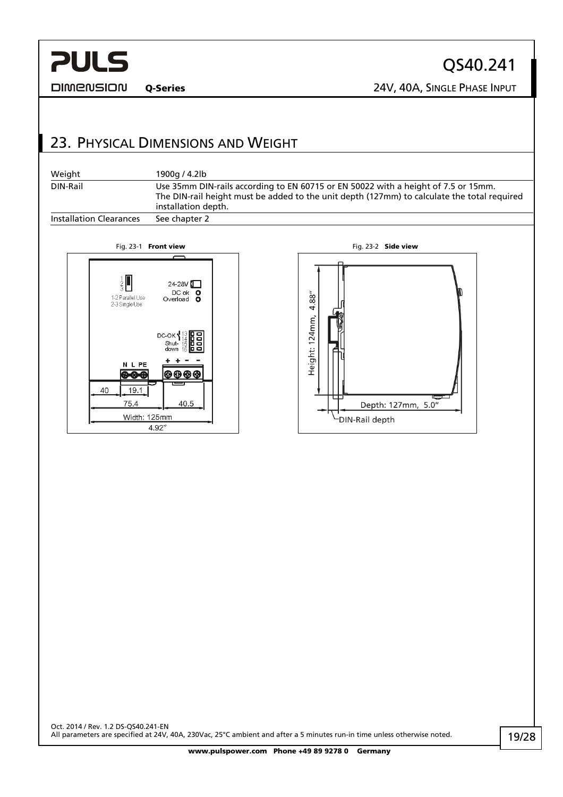<span id="page-18-0"></span>**DIMENSION** 

QS40.241 Q-Series 24V, 40A, SINGLE PHASE INPUT

23. PHYSICAL DIMENSIONS AND WEIGHT

| Weight                         | 1900g / 4.2lb                                                                                                                                                                                            |
|--------------------------------|----------------------------------------------------------------------------------------------------------------------------------------------------------------------------------------------------------|
| DIN-Rail                       | Use 35mm DIN-rails according to EN 60715 or EN 50022 with a height of 7.5 or 15mm.<br>The DIN-rail height must be added to the unit depth (127mm) to calculate the total required<br>installation depth. |
| <b>Installation Clearances</b> | See chapter 2                                                                                                                                                                                            |



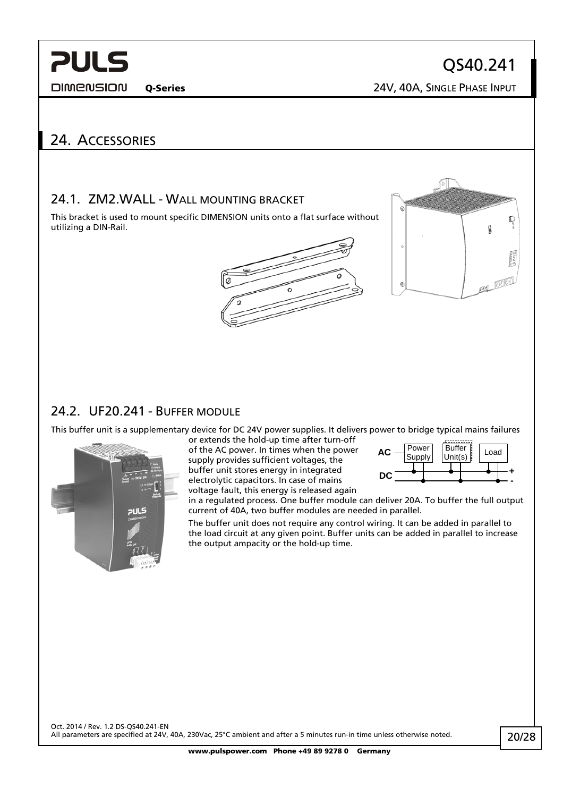<span id="page-19-0"></span>**DIMENSION** 

QS40.241

Q-Series 24V, 40A, SINGLE PHASE INPUT

## 24. ACCESSORIES

### 24.1. ZM2.WALL - WALL MOUNTING BRACKET

This bracket is used to mount specific DIMENSION units onto a flat surface without utilizing a DIN-Rail.





### 24.2. UF20.241 - BUFFER MODULE

This buffer unit is a supplementary device for DC 24V power supplies. It delivers power to bridge typical mains failures



or extends the hold-up time after turn-off of the AC power. In times when the pow er supply provides sufficient voltages, the buffer unit stores energy in integrated electrolytic capacitors. In case of mains voltage fault, this energy is released again



in a regulated process. One buffer module can deliver 20A. To buffer the full outpu t current of 40A, two buffer modules are needed in parallel.

The buffer unit does not require any control wiring. It can be added in parallel to the load circuit at any given point. Buffer units can be added in parallel to increase the output ampacity or the hold-up time.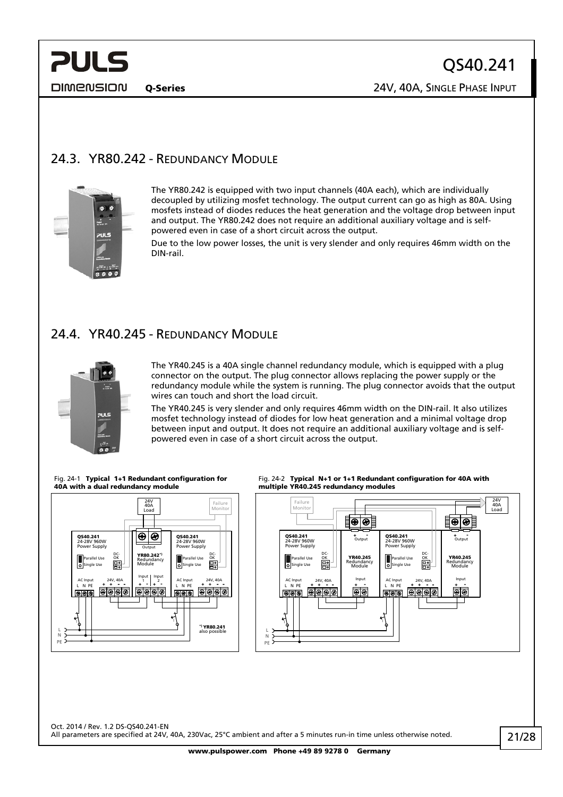<span id="page-20-0"></span>

Q-Series 24V, 40A, SINGLE PHASE INPUT

## <span id="page-20-1"></span>24.3. YR80.242 - REDUNDANCY MODULE



The YR80.242 is equipped with two input channels (40A each), which are individually decoupled by utilizing mosfet technology. The output current can go as high as 80A. Using mosfets instead of diodes reduces the heat generation and the voltage drop between input and output. The YR80.242 does not require an additional auxiliary voltage and is selfpowered even in case of a short circuit across the output.

Due to the low power losses, the unit is very slender and only requires 46mm width on the DIN-rail.

### <span id="page-20-2"></span>24.4. YR40.245 - REDUNDANCY MODULE



The YR40.245 is a 40A single channel redundancy module, which is equipped with a plug connector on the output. The plug connector allows replacing the power supply or the redundancy module while the system is running. The plug connector avoids that the output wires can touch and short the load circuit.

The YR40.245 is very slender and only requires 46mm width on the DIN-rail. It also utilizes mosfet technology instead of diodes for low heat generation and a minimal voltage drop between input and output. It does not require an additional auxiliary voltage and is selfpowered even in case of a short circuit across the output.





Fig. 24-2 Typical N+1 or 1+1 Redundant configuration for 40A with multiple YR40.245 redundancy modules



Oct. 2014 / Rev. 1.2 DS-QS40.241-EN All parameters are specified at 24V, 40A, 230Vac, 25°C ambient and after a 5 minutes run-in time unless otherwise noted.

www.pulspower.com Phone +49 89 9278 0 Germany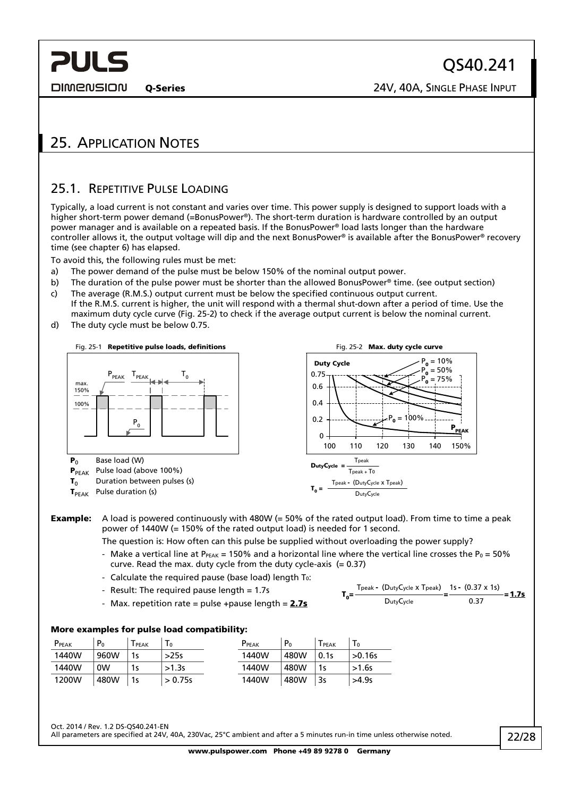<span id="page-21-0"></span>**DIMENSION** 

Q-Series 24V, 40A, SINGLE PHASE INPUT

## 25. APPLICATION NOTES

### <span id="page-21-1"></span>25.1. REPETITIVE PULSE LOADING

Typically, a load current is not constant and varies over time. This power supply is designed to support loads with a higher short-term power demand (=BonusPower®). The short-term duration is hardware controlled by an output power manager and is available on a repeated basis. If the BonusPower® load lasts longer than the hardware controller allows it, the output voltage will dip and the next BonusPower® is available after the BonusPower® recovery time (see chapter [6\)](#page-5-1) has elapsed.

To avoid this, the following rules must be met:

- a) The power demand of the pulse must be below 150% of the nominal output power.
- b) The duration of the pulse power must be shorter than the allowed BonusPower<sup>®</sup> time. (see output section) c) The average (R.M.S.) output current must be below the specified continuous output current.
- If the R.M.S. current is higher, the unit will respond with a thermal shut-down after a period of time. Use the maximum duty cycle curve [\(Fig. 25-2\)](#page-21-2) to check if the average output current is below the nominal current.
- <span id="page-21-2"></span>d) The duty cycle must be below 0.75.



**Example:** A load is powered continuously with 480W (= 50% of the rated output load). From time to time a peak power of 1440W (= 150% of the rated output load) is needed for 1 second.

The question is: How often can this pulse be supplied without overloading the power supply?

- Make a vertical line at P<sub>PEAK</sub> = 150% and a horizontal line where the vertical line crosses the P<sub>0</sub> = 50% curve. Read the max. duty cycle from the duty cycle-axis (= 0.37)
- Calculate the required pause (base load) length  $T_0$ :
- Result: The required pause length = 1.7s
- Max. repetition rate = pulse +pause length =  $2.7s$

$$
T_0 = \frac{\text{Tpeak} - (\text{DutyCycle} \times \text{Tpeak})}{\text{DutyCycle}} = \frac{1s - (0.37 \times 1s)}{0.37} = 1.7s
$$

#### More examples for pulse load compatibility:

| PPEAK | P <sub>0</sub> | <b>PEAK</b> | $\mathbf{1} \mathbf{0}$ | P <sub>PEAK</sub> | P <sub>0</sub> | <b>PEAK</b> | <b>10</b> |
|-------|----------------|-------------|-------------------------|-------------------|----------------|-------------|-----------|
| 1440W | 960W           | 1 с         | >25s                    | 1440W             | 480W           | 0.1s        | >0.16s    |
| 1440W | 0W             | 1s          | >1.3s                   | 1440W             | 480W           | 1s          | >1.6s     |
| 1200W | 480W           | 1s          | > 0.75s                 | 1440W             | 480W           | 3s          | >4.9s     |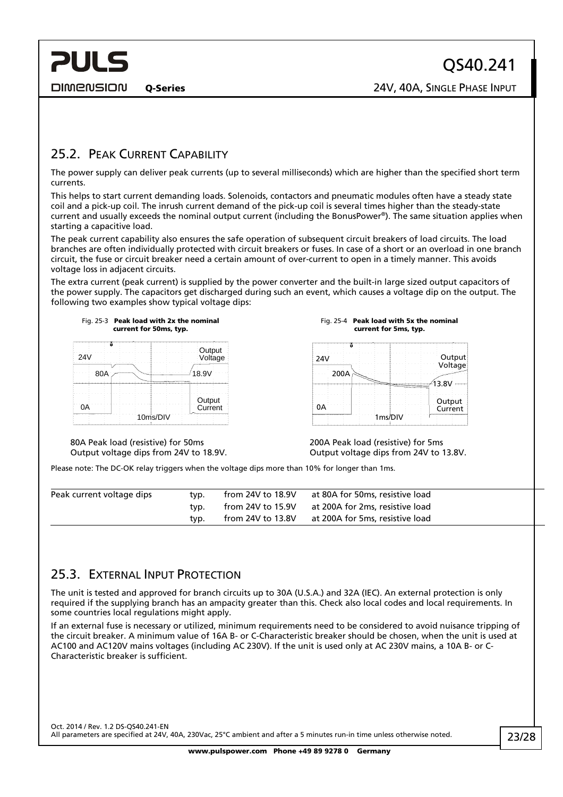<span id="page-22-0"></span>**PULS** 

### <span id="page-22-2"></span>25.2. PEAK CURRENT CAPABILITY

The power supply can deliver peak currents (up to several milliseconds) which are higher than the specified short term currents.

This helps to start current demanding loads. Solenoids, contactors and pneumatic modules often have a steady state coil and a pick-up coil. The inrush current demand of the pick-up coil is several times higher than the steady-state current and usually exceeds the nominal output current (including the BonusPower®). The same situation applies when starting a capacitive load.

The peak current capability also ensures the safe operation of subsequent circuit breakers of load circuits. The load branches are often individually protected with circuit breakers or fuses. In case of a short or an overload in one branch circuit, the fuse or circuit breaker need a certain amount of over-current to open in a timely manner. This avoids voltage loss in adjacent circuits.

The extra current (peak current) is supplied by the power converter and the built-in large sized output capacitors of the power supply. The capacitors get discharged during such an event, which causes a voltage dip on the output. The following two examples show typical voltage dips:



Fig. 25-4 Peak load with 5x the nominal current for 5ms, typ.

| 24V  |         | Output<br>Voltage |
|------|---------|-------------------|
| 200A |         |                   |
|      |         | 13.8V             |
|      |         |                   |
| 0Ä   |         | Output<br>Current |
|      | 1ms/DIV |                   |

80A Peak load (resistive) for 50ms Output voltage dips from 24V to 18.9V.

200A Peak load (resistive) for 5ms Output voltage dips from 24V to 13.8V.

Please note: The DC-OK relay triggers when the voltage dips more than 10% for longer than 1ms.

| Peak current voltage dips | tvp. | from 24V to 18.9V   | at 80A for 50ms, resistive load |  |
|---------------------------|------|---------------------|---------------------------------|--|
|                           | tvp. | from 24V to 15.9V   | at 200A for 2ms, resistive load |  |
|                           | tvp. | from 24V to $13.8V$ | at 200A for 5ms, resistive load |  |

### <span id="page-22-1"></span>25.3. EXTERNAL INPUT PROTECTION

The unit is tested and approved for branch circuits up to 30A (U.S.A.) and 32A (IEC). An external protection is only required if the supplying branch has an ampacity greater than this. Check also local codes and local requirements. In some countries local regulations might apply.

If an external fuse is necessary or utilized, minimum requirements need to be considered to avoid nuisance tripping of the circuit breaker. A minimum value of 16A B- or C-Characteristic breaker should be chosen, when the unit is used at AC100 and AC120V mains voltages (including AC 230V). If the unit is used only at AC 230V mains, a 10A B- or C-Characteristic breaker is sufficient.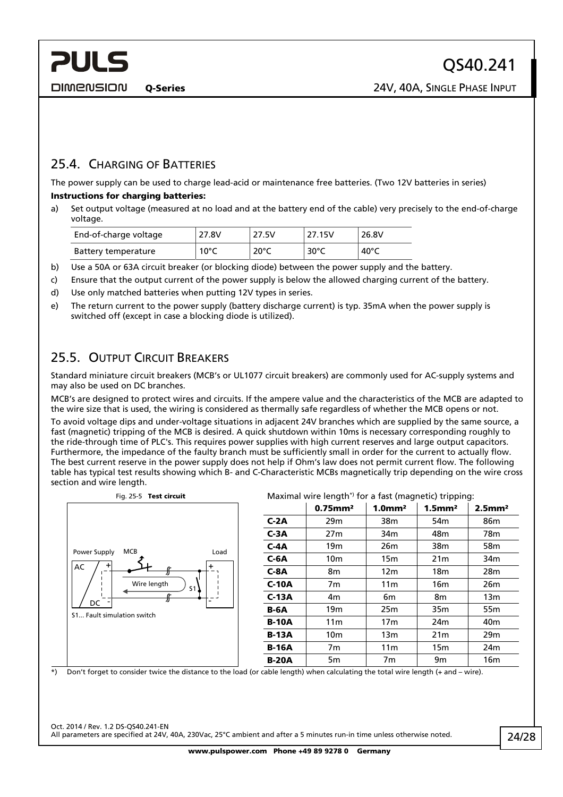## <span id="page-23-0"></span>25.4. CHARGING OF BATTERIES

The power supply can be used to charge lead-acid or maintenance free batteries. (Two 12V batteries in series) Instructions for charging batteries:

a) Set output voltage (measured at no load and at the battery end of the cable) very precisely to the end-of-charge voltage.

| End-of-charge voltage | 27.8V          | 27.5V          | 27.15V | 26.8V           |
|-----------------------|----------------|----------------|--------|-----------------|
| Battery temperature   | $10^{\circ}$ C | $20^{\circ}$ C | 30°C   | 40 $^{\circ}$ C |

- b) Use a 50A or 63A circuit breaker (or blocking diode) between the power supply and the battery.
- c) Ensure that the output current of the power supply is below the allowed charging current of the battery.
- d) Use only matched batteries when putting 12V types in series.
- e) The return current to the power supply (battery discharge current) is typ. 35mA when the power supply is switched off (except in case a blocking diode is utilized).

## 25.5. OUTPUT CIRCUIT BREAKERS

Standard miniature circuit breakers (MCB's or UL1077 circuit breakers) are commonly used for AC-supply systems and may also be used on DC branches.

MCB's are designed to protect wires and circuits. If the ampere value and the characteristics of the MCB are adapted to the wire size that is used, the wiring is considered as thermally safe regardless of whether the MCB opens or not.

To avoid voltage dips and under-voltage situations in adjacent 24V branches which are supplied by the same source, a fast (magnetic) tripping of the MCB is desired. A quick shutdown within 10ms is necessary corresponding roughly to the ride-through time of PLC's. This requires power supplies with high current reserves and large output capacitors. Furthermore, the impedance of the faulty branch must be sufficiently small in order for the current to actually flow. The best current reserve in the power supply does not help if Ohm's law does not permit current flow. The following table has typical test results showing which B- and C-Characteristic MCBs magnetically trip depending on the wire cross section and wire length.



\*) Don't forget to consider twice the distance to the load (or cable length) when calculating the total wire length (+ and – wire).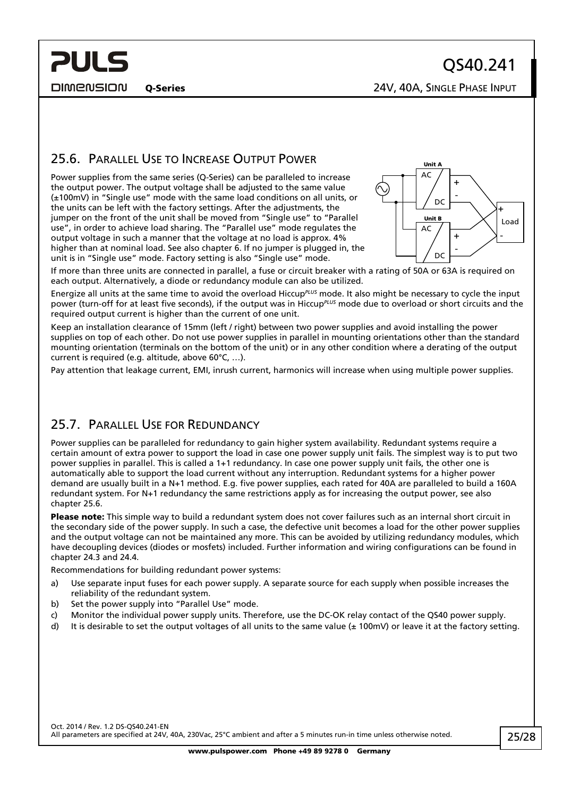<span id="page-24-0"></span>**PULS** 

Q-Series 24V, 40A, SINGLE PHASE INPUT

## <span id="page-24-1"></span>25.6. PARALLEL USE TO INCREASE OUTPUT POWER

Power supplies from the same series (Q-Series) can be paralleled to increase the output power. The output voltage shall be adjusted to the same value (±100mV) in "Single use" mode with the same load conditions on all units, or the units can be left with the factory settings. After the adjustments, the jumper on the front of the unit shall be moved from "Single use" to "Parallel use", in order to achieve load sharing. The "Parallel use" mode regulates the output voltage in such a manner that the voltage at no load is approx. 4% higher than at nominal load. See also chapter [6.](#page-5-1) If no jumper is plugged in, the unit is in "Single use" mode. Factory setting is also "Single use" mode.



If more than three units are connected in parallel, a fuse or circuit breaker with a rating of 50A or 63A is required on each output. Alternatively, a diode or redundancy module can also be utilized.

Energize all units at the same time to avoid the overload Hiccup*PLUS* mode. It also might be necessary to cycle the input power (turn-off for at least five seconds), if the output was in Hiccup*PLUS* mode due to overload or short circuits and the required output current is higher than the current of one unit.

Keep an installation clearance of 15mm (left / right) between two power supplies and avoid installing the power supplies on top of each other. Do not use power supplies in parallel in mounting orientations other than the standard mounting orientation (terminals on the bottom of the unit) or in any other condition where a derating of the output current is required (e.g. altitude, above 60°C, …).

Pay attention that leakage current, EMI, inrush current, harmonics will increase when using multiple power supplies.

### 25.7. PARALLEL USE FOR REDUNDANCY

Power supplies can be paralleled for redundancy to gain higher system availability. Redundant systems require a certain amount of extra power to support the load in case one power supply unit fails. The simplest way is to put two power supplies in parallel. This is called a 1+1 redundancy. In case one power supply unit fails, the other one is automatically able to support the load current without any interruption. Redundant systems for a higher power demand are usually built in a N+1 method. E.g. five power supplies, each rated for 40A are paralleled to build a 160A redundant system. For N+1 redundancy the same restrictions apply as for increasing the output power, see also chapter [25.6.](#page-24-1)

Please note: This simple way to build a redundant system does not cover failures such as an internal short circuit in the secondary side of the power supply. In such a case, the defective unit becomes a load for the other power supplies and the output voltage can not be maintained any more. This can be avoided by utilizing redundancy modules, which have decoupling devices (diodes or mosfets) included. Further information and wiring configurations can be found in chapter [24.3](#page-20-1) and [24.4](#page-20-2).

Recommendations for building redundant power systems:

- a) Use separate input fuses for each power supply. A separate source for each supply when possible increases the reliability of the redundant system.
- b) Set the power supply into "Parallel Use" mode.
- c) Monitor the individual power supply units. Therefore, use the DC-OK relay contact of the QS40 power supply.
- d) It is desirable to set the output voltages of all units to the same value ( $\pm$  100mV) or leave it at the factory setting.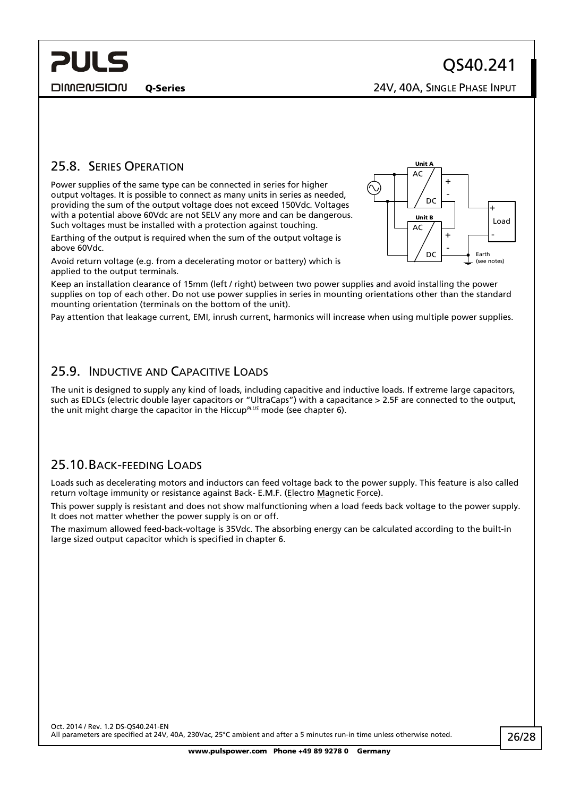<span id="page-25-0"></span>**PULS** 

Q-Series 24V, 40A, SINGLE PHASE INPUT

### 25.8. SERIES OPERATION

Power supplies of the same type can be connected in series for higher output voltages. It is possible to connect as many units in series as needed, providing the sum of the output voltage does not exceed 150Vdc. Voltages with a potential above 60Vdc are not SELV any more and can be dangerous. Such voltages must be installed with a protection against touching.

Earthing of the output is required when the sum of the output voltage is above 60Vdc.

Avoid return voltage (e.g. from a decelerating motor or battery) which is applied to the output terminals.

Keep an installation clearance of 15mm (left / right) between two power supplies and avoid installing the power supplies on top of each other. Do not use power supplies in series in mounting orientations other than the standard mounting orientation (terminals on the bottom of the unit).

Pay attention that leakage current, EMI, inrush current, harmonics will increase when using multiple power supplies.

### 25.9. INDUCTIVE AND CAPACITIVE LOADS

The unit is designed to supply any kind of loads, including capacitive and inductive loads. If extreme large capacitors, such as EDLCs (electric double layer capacitors or "UltraCaps") with a capacitance > 2.5F are connected to the output, the unit might charge the capacitor in the Hiccup*PLUS* mode (see chapter [6\)](#page-5-1).

### 25.10.BACK-FEEDING LOADS

Loads such as decelerating motors and inductors can feed voltage back to the power supply. This feature is also called return voltage immunity or resistance against Back- E.M.F. (Electro Magnetic Force).

This power supply is resistant and does not show malfunctioning when a load feeds back voltage to the power supply. It does not matter whether the power supply is on or off.

The maximum allowed feed-back-voltage is 35Vdc. The absorbing energy can be calculated according to the built-in large sized output capacitor which is specified in chapter [6](#page-5-1).



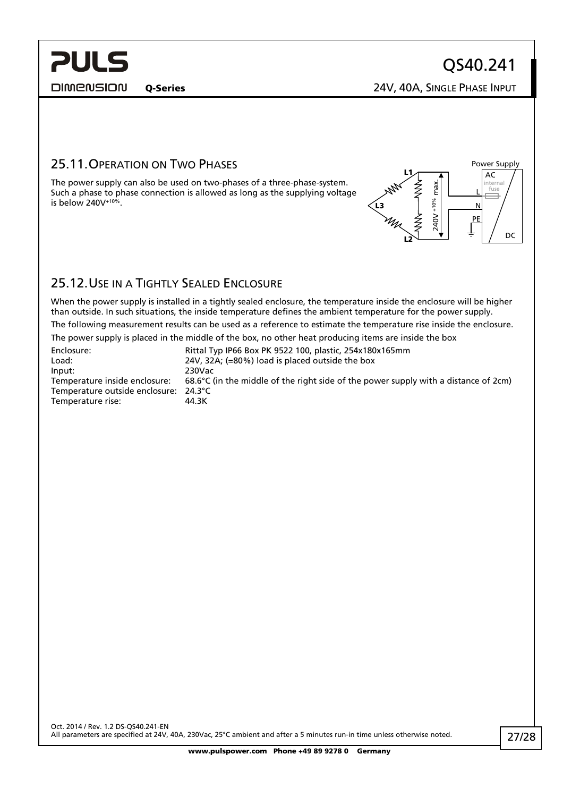<span id="page-26-0"></span>**DIMENSION** 

L N PE

Power Supply AC

internal

DC

Q-Series 24V, 40A, SINGLE PHASE INPUT

240V +10% max.

L2

L3

L1

### 25.11.OPERATION ON TWO PHASES

The power supply can also be used on two-phases of a three-phase-system.<br>Such a phase to phase connection is allowed as long as the supplying voltage<br>is below 240V<sup>+10%</sup>.<br> $\frac{13}{2}$   $\frac{1}{2}$   $\frac{3}{2}$   $\frac{3}{2}$   $\frac{3}{2}$ Such a phase to phase connection is allowed as long as the supplying voltage is below  $240V^{+10\%}$ .

## 25.12.USE IN A TIGHTLY SEALED ENCLOSURE

When the power supply is installed in a tightly sealed enclosure, the temperature inside the enclosure will be higher than outside. In such situations, the inside temperature defines the ambient temperature for the power supply.

The following measurement results can be used as a reference to estimate the temperature rise inside the enclosure.

The power supply is placed in the middle of the box, no other heat producing items are inside the box

| Enclosure:                            | Rittal Typ IP66 Box PK 9522 100, plastic, 254x180x165mm                                       |
|---------------------------------------|-----------------------------------------------------------------------------------------------|
| Load:                                 | 24V, 32A; (=80%) load is placed outside the box                                               |
| Input:                                | 230Vac                                                                                        |
| Temperature inside enclosure:         | 68.6 $\degree$ C (in the middle of the right side of the power supply with a distance of 2cm) |
| Temperature outside enclosure: 24.3°C |                                                                                               |
| Temperature rise:                     | 44.3K                                                                                         |